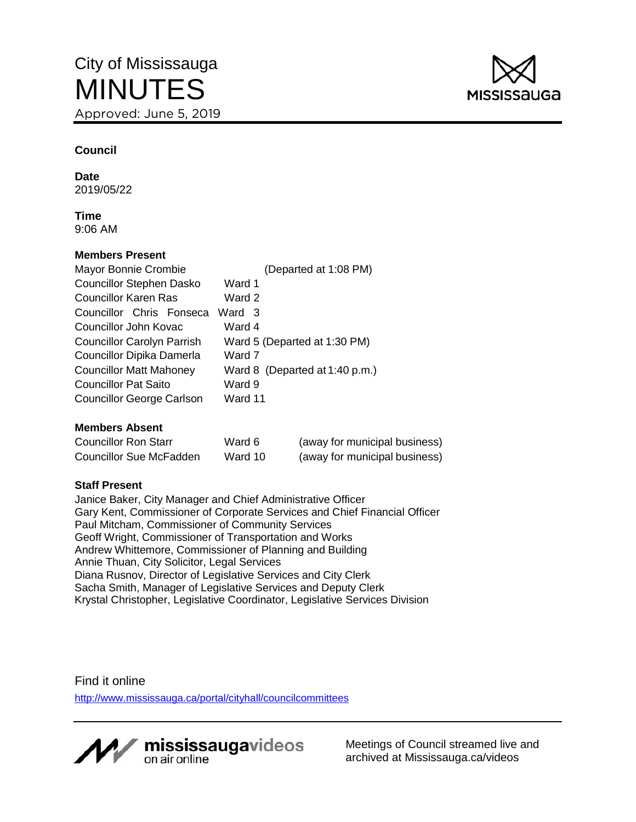

# **Council**

**Date** 2019/05/22

**Time** 9:06 AM

#### **Members Present**

| Mayor Bonnie Crombie              | (Departed at 1:08 PM)          |
|-----------------------------------|--------------------------------|
| <b>Councillor Stephen Dasko</b>   | Ward 1                         |
| <b>Councillor Karen Ras</b>       | Ward 2                         |
| Councillor Chris Fonseca          | Ward 3                         |
| Councillor John Kovac             | Ward 4                         |
| <b>Councillor Carolyn Parrish</b> | Ward 5 (Departed at 1:30 PM)   |
| Councillor Dipika Damerla         | Ward 7                         |
| <b>Councillor Matt Mahoney</b>    | Ward 8 (Departed at 1:40 p.m.) |
| <b>Councillor Pat Saito</b>       | Ward 9                         |
| <b>Councillor George Carlson</b>  | Ward 11                        |

#### **Members Absent**

| <b>Councillor Ron Starr</b> | Ward 6  | (away for municipal business) |
|-----------------------------|---------|-------------------------------|
| Councillor Sue McFadden     | Ward 10 | (away for municipal business) |

#### **Staff Present**

Janice Baker, City Manager and Chief Administrative Officer Gary Kent, Commissioner of Corporate Services and Chief Financial Officer Paul Mitcham, Commissioner of Community Services Geoff Wright, Commissioner of Transportation and Works Andrew Whittemore, Commissioner of Planning and Building Annie Thuan, City Solicitor, Legal Services Diana Rusnov, Director of Legislative Services and City Clerk Sacha Smith, Manager of Legislative Services and Deputy Clerk Krystal Christopher, Legislative Coordinator, Legislative Services Division

Find it online <http://www.mississauga.ca/portal/cityhall/councilcommittees>



Meetings of Council streamed live and archived at Mississauga.ca/videos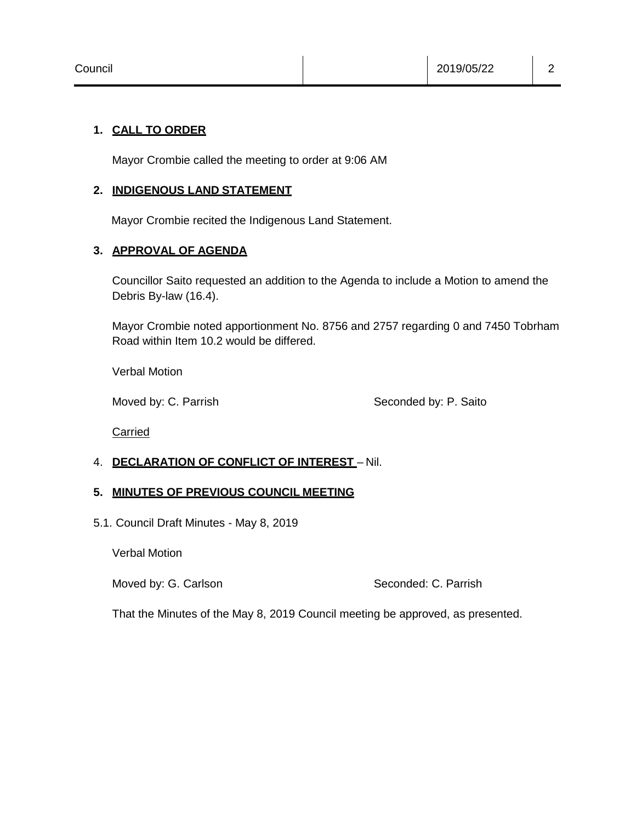#### **1. CALL TO ORDER**

Mayor Crombie called the meeting to order at 9:06 AM

#### **2. INDIGENOUS LAND STATEMENT**

Mayor Crombie recited the Indigenous Land Statement.

#### **3. APPROVAL OF AGENDA**

Councillor Saito requested an addition to the Agenda to include a Motion to amend the Debris By-law (16.4).

Mayor Crombie noted apportionment No. 8756 and 2757 regarding 0 and 7450 Tobrham Road within Item 10.2 would be differed.

Verbal Motion

Moved by: C. Parrish Seconded by: P. Saito

**Carried** 

# 4. **DECLARATION OF CONFLICT OF INTEREST** – Nil.

# **5. MINUTES OF PREVIOUS COUNCIL MEETING**

5.1. Council Draft Minutes - May 8, 2019

Verbal Motion

Moved by: G. Carlson Seconded: C. Parrish

That the Minutes of the May 8, 2019 Council meeting be approved, as presented.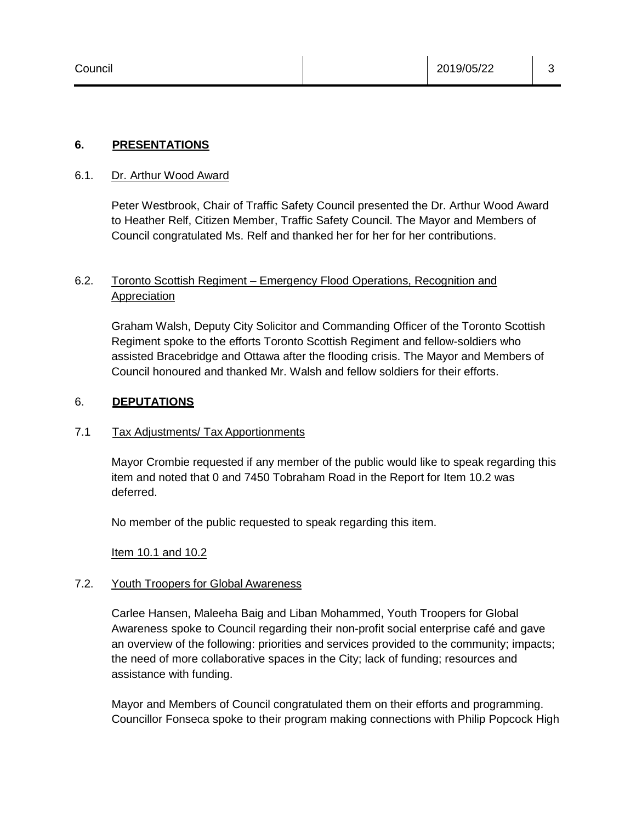#### **6. PRESENTATIONS**

#### 6.1. Dr. Arthur Wood Award

Peter Westbrook, Chair of Traffic Safety Council presented the Dr. Arthur Wood Award to Heather Relf, Citizen Member, Traffic Safety Council. The Mayor and Members of Council congratulated Ms. Relf and thanked her for her for her contributions.

# 6.2. Toronto Scottish Regiment – Emergency Flood Operations, Recognition and **Appreciation**

Graham Walsh, Deputy City Solicitor and Commanding Officer of the Toronto Scottish Regiment spoke to the efforts Toronto Scottish Regiment and fellow-soldiers who assisted Bracebridge and Ottawa after the flooding crisis. The Mayor and Members of Council honoured and thanked Mr. Walsh and fellow soldiers for their efforts.

#### 6. **DEPUTATIONS**

#### 7.1 Tax Adjustments/ Tax Apportionments

Mayor Crombie requested if any member of the public would like to speak regarding this item and noted that 0 and 7450 Tobraham Road in the Report for Item 10.2 was deferred.

No member of the public requested to speak regarding this item.

Item 10.1 and 10.2

#### 7.2. Youth Troopers for Global Awareness

Carlee Hansen, Maleeha Baig and Liban Mohammed, Youth Troopers for Global Awareness spoke to Council regarding their non-profit social enterprise café and gave an overview of the following: priorities and services provided to the community; impacts; the need of more collaborative spaces in the City; lack of funding; resources and assistance with funding.

Mayor and Members of Council congratulated them on their efforts and programming. Councillor Fonseca spoke to their program making connections with Philip Popcock High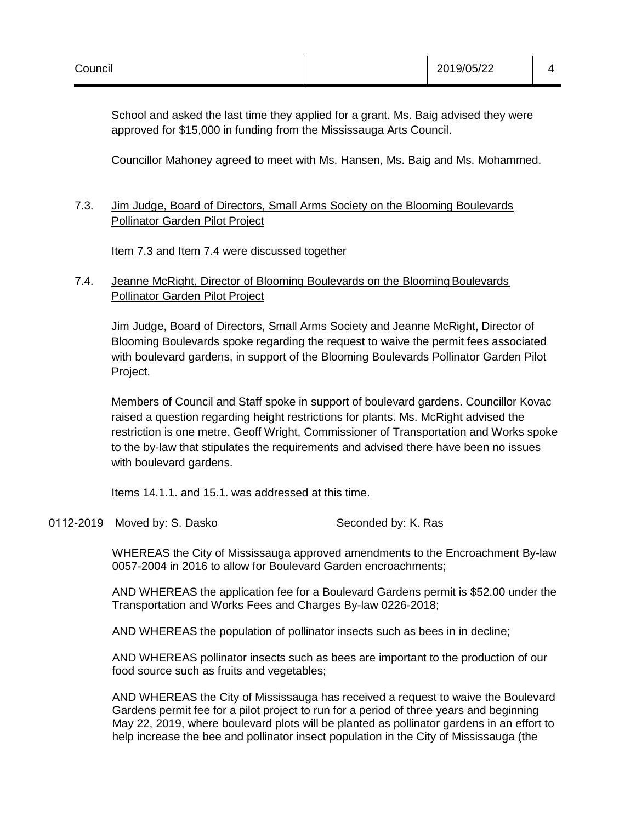School and asked the last time they applied for a grant. Ms. Baig advised they were approved for \$15,000 in funding from the Mississauga Arts Council.

Councillor Mahoney agreed to meet with Ms. Hansen, Ms. Baig and Ms. Mohammed.

# 7.3. Jim Judge, Board of Directors, Small Arms Society on the Blooming Boulevards Pollinator Garden Pilot Project

Item 7.3 and Item 7.4 were discussed together

# 7.4. Jeanne McRight, Director of Blooming Boulevards on the Blooming Boulevards Pollinator Garden Pilot Project

Jim Judge, Board of Directors, Small Arms Society and Jeanne McRight, Director of Blooming Boulevards spoke regarding the request to waive the permit fees associated with boulevard gardens, in support of the Blooming Boulevards Pollinator Garden Pilot Project.

Members of Council and Staff spoke in support of boulevard gardens. Councillor Kovac raised a question regarding height restrictions for plants. Ms. McRight advised the restriction is one metre. Geoff Wright, Commissioner of Transportation and Works spoke to the by-law that stipulates the requirements and advised there have been no issues with boulevard gardens.

Items 14.1.1. and 15.1. was addressed at this time.

0112-2019 Moved by: S. Dasko Seconded by: K. Ras

WHEREAS the City of Mississauga approved amendments to the Encroachment By-law 0057-2004 in 2016 to allow for Boulevard Garden encroachments;

AND WHEREAS the application fee for a Boulevard Gardens permit is \$52.00 under the Transportation and Works Fees and Charges By-law 0226-2018;

AND WHEREAS the population of pollinator insects such as bees in in decline;

AND WHEREAS pollinator insects such as bees are important to the production of our food source such as fruits and vegetables;

AND WHEREAS the City of Mississauga has received a request to waive the Boulevard Gardens permit fee for a pilot project to run for a period of three years and beginning May 22, 2019, where boulevard plots will be planted as pollinator gardens in an effort to help increase the bee and pollinator insect population in the City of Mississauga (the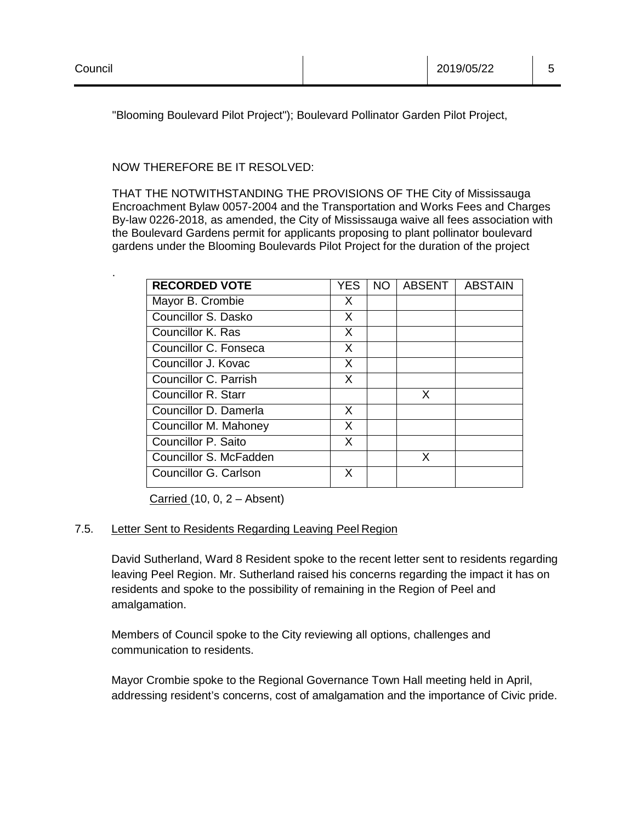.

"Blooming Boulevard Pilot Project"); Boulevard Pollinator Garden Pilot Project,

NOW THEREFORE BE IT RESOLVED:

THAT THE NOTWITHSTANDING THE PROVISIONS OF THE City of Mississauga Encroachment Bylaw 0057-2004 and the Transportation and Works Fees and Charges By-law 0226-2018, as amended, the City of Mississauga waive all fees association with the Boulevard Gardens permit for applicants proposing to plant pollinator boulevard gardens under the Blooming Boulevards Pilot Project for the duration of the project

| <b>RECORDED VOTE</b>   | YES | NO. | <b>ABSENT</b> | <b>ABSTAIN</b> |
|------------------------|-----|-----|---------------|----------------|
| Mayor B. Crombie       | X   |     |               |                |
| Councillor S. Dasko    | X   |     |               |                |
| Councillor K. Ras      | X   |     |               |                |
| Councillor C. Fonseca  | X   |     |               |                |
| Councillor J. Kovac    | X   |     |               |                |
| Councillor C. Parrish  | X   |     |               |                |
| Councillor R. Starr    |     |     | X             |                |
| Councillor D. Damerla  | X   |     |               |                |
| Councillor M. Mahoney  | X   |     |               |                |
| Councillor P. Saito    | X   |     |               |                |
| Councillor S. McFadden |     |     | x             |                |
| Councillor G. Carlson  | X   |     |               |                |

Carried  $(10, 0, 2 -$  Absent)

#### 7.5. Letter Sent to Residents Regarding Leaving Peel Region

David Sutherland, Ward 8 Resident spoke to the recent letter sent to residents regarding leaving Peel Region. Mr. Sutherland raised his concerns regarding the impact it has on residents and spoke to the possibility of remaining in the Region of Peel and amalgamation.

Members of Council spoke to the City reviewing all options, challenges and communication to residents.

Mayor Crombie spoke to the Regional Governance Town Hall meeting held in April, addressing resident's concerns, cost of amalgamation and the importance of Civic pride.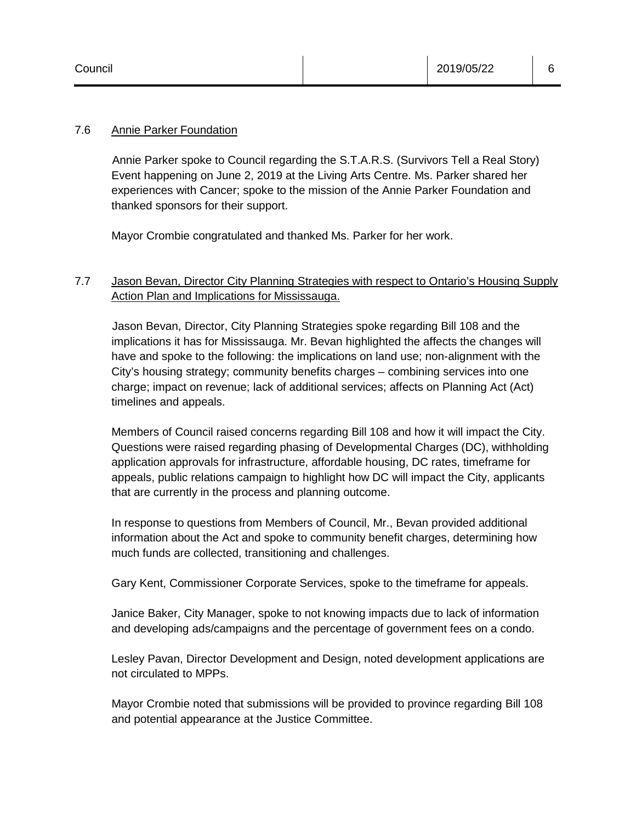#### 7.6 Annie Parker Foundation

Annie Parker spoke to Council regarding the S.T.A.R.S. (Survivors Tell a Real Story) Event happening on June 2, 2019 at the Living Arts Centre. Ms. Parker shared her experiences with Cancer; spoke to the mission of the Annie Parker Foundation and thanked sponsors for their support.

Mayor Crombie congratulated and thanked Ms. Parker for her work.

# 7.7 Jason Bevan, Director City Planning Strategies with respect to Ontario's Housing Supply Action Plan and Implications for Mississauga.

Jason Bevan, Director, City Planning Strategies spoke regarding Bill 108 and the implications it has for Mississauga. Mr. Bevan highlighted the affects the changes will have and spoke to the following: the implications on land use; non-alignment with the City's housing strategy; community benefits charges – combining services into one charge; impact on revenue; lack of additional services; affects on Planning Act (Act) timelines and appeals.

Members of Council raised concerns regarding Bill 108 and how it will impact the City. Questions were raised regarding phasing of Developmental Charges (DC), withholding application approvals for infrastructure, affordable housing, DC rates, timeframe for appeals, public relations campaign to highlight how DC will impact the City, applicants that are currently in the process and planning outcome.

In response to questions from Members of Council, Mr., Bevan provided additional information about the Act and spoke to community benefit charges, determining how much funds are collected, transitioning and challenges.

Gary Kent, Commissioner Corporate Services, spoke to the timeframe for appeals.

Janice Baker, City Manager, spoke to not knowing impacts due to lack of information and developing ads/campaigns and the percentage of government fees on a condo.

Lesley Pavan, Director Development and Design, noted development applications are not circulated to MPPs.

Mayor Crombie noted that submissions will be provided to province regarding Bill 108 and potential appearance at the Justice Committee.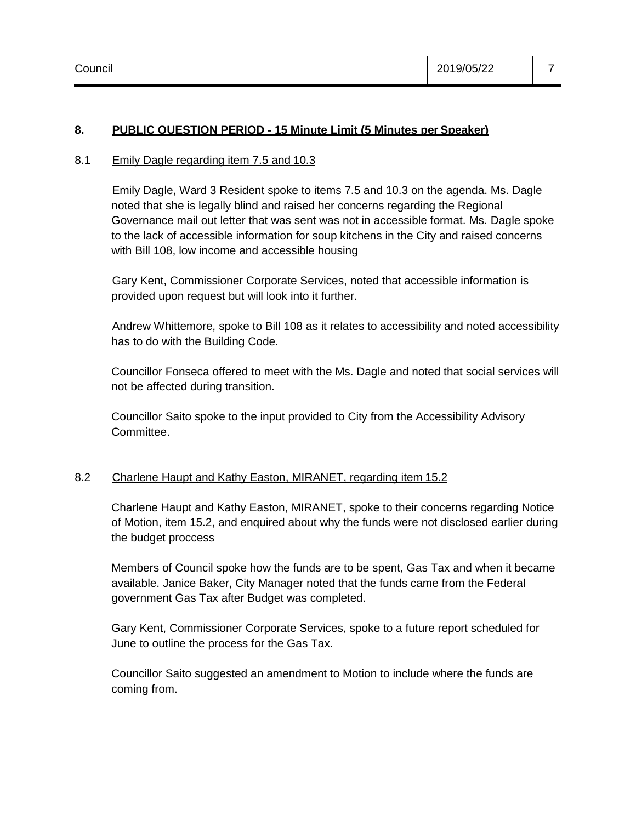#### **8. PUBLIC QUESTION PERIOD - 15 Minute Limit (5 Minutes per Speaker)**

#### 8.1 Emily Dagle regarding item 7.5 and 10.3

Emily Dagle, Ward 3 Resident spoke to items 7.5 and 10.3 on the agenda. Ms. Dagle noted that she is legally blind and raised her concerns regarding the Regional Governance mail out letter that was sent was not in accessible format. Ms. Dagle spoke to the lack of accessible information for soup kitchens in the City and raised concerns with Bill 108, low income and accessible housing

Gary Kent, Commissioner Corporate Services, noted that accessible information is provided upon request but will look into it further.

Andrew Whittemore, spoke to Bill 108 as it relates to accessibility and noted accessibility has to do with the Building Code.

Councillor Fonseca offered to meet with the Ms. Dagle and noted that social services will not be affected during transition.

Councillor Saito spoke to the input provided to City from the Accessibility Advisory Committee.

#### 8.2 Charlene Haupt and Kathy Easton, MIRANET, regarding item 15.2

Charlene Haupt and Kathy Easton, MIRANET, spoke to their concerns regarding Notice of Motion, item 15.2, and enquired about why the funds were not disclosed earlier during the budget proccess

Members of Council spoke how the funds are to be spent, Gas Tax and when it became available. Janice Baker, City Manager noted that the funds came from the Federal government Gas Tax after Budget was completed.

Gary Kent, Commissioner Corporate Services, spoke to a future report scheduled for June to outline the process for the Gas Tax.

Councillor Saito suggested an amendment to Motion to include where the funds are coming from.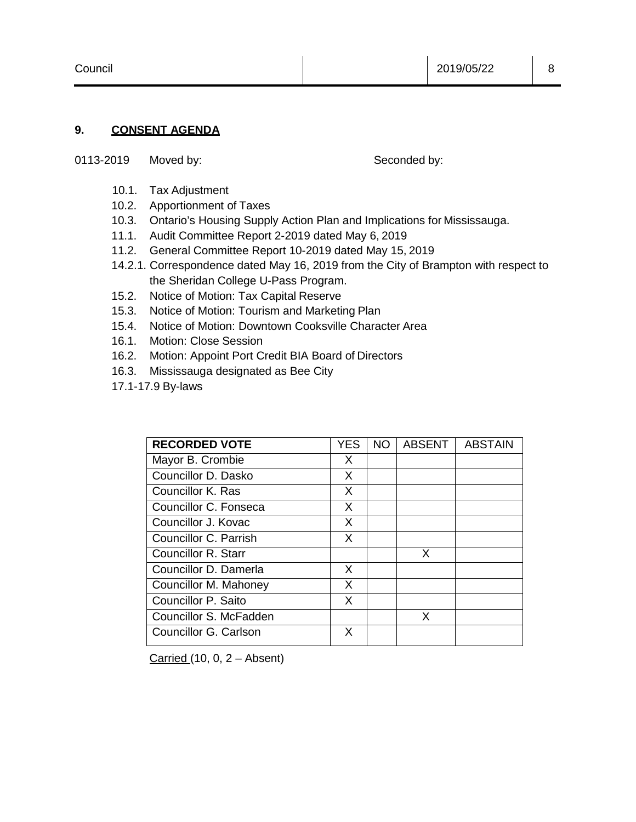#### **9. CONSENT AGENDA**

0113-2019 Moved by: Seconded by:

- 10.1. Tax Adjustment
- 10.2. Apportionment of Taxes
- 10.3. Ontario's Housing Supply Action Plan and Implications for Mississauga.
- 11.1. Audit Committee Report 2-2019 dated May 6, 2019
- 11.2. General Committee Report 10-2019 dated May 15, 2019
- 14.2.1. Correspondence dated May 16, 2019 from the City of Brampton with respect to the Sheridan College U-Pass Program.
- 15.2. Notice of Motion: Tax Capital Reserve
- 15.3. Notice of Motion: Tourism and Marketing Plan
- 15.4. Notice of Motion: Downtown Cooksville Character Area
- 16.1. Motion: Close Session
- 16.2. Motion: Appoint Port Credit BIA Board of Directors
- 16.3. Mississauga designated as Bee City
- 17.1-17.9 By-laws

| <b>RECORDED VOTE</b>   | <b>YES</b> | NO. | <b>ABSENT</b> | <b>ABSTAIN</b> |
|------------------------|------------|-----|---------------|----------------|
| Mayor B. Crombie       | X          |     |               |                |
| Councillor D. Dasko    | X          |     |               |                |
| Councillor K. Ras      | X          |     |               |                |
| Councillor C. Fonseca  | X          |     |               |                |
| Councillor J. Kovac    | X          |     |               |                |
| Councillor C. Parrish  | X          |     |               |                |
| Councillor R. Starr    |            |     | X             |                |
| Councillor D. Damerla  | X          |     |               |                |
| Councillor M. Mahoney  | X          |     |               |                |
| Councillor P. Saito    | X          |     |               |                |
| Councillor S. McFadden |            |     | X             |                |
| Councillor G. Carlson  | X          |     |               |                |

Carried  $(10, 0, 2 -$  Absent)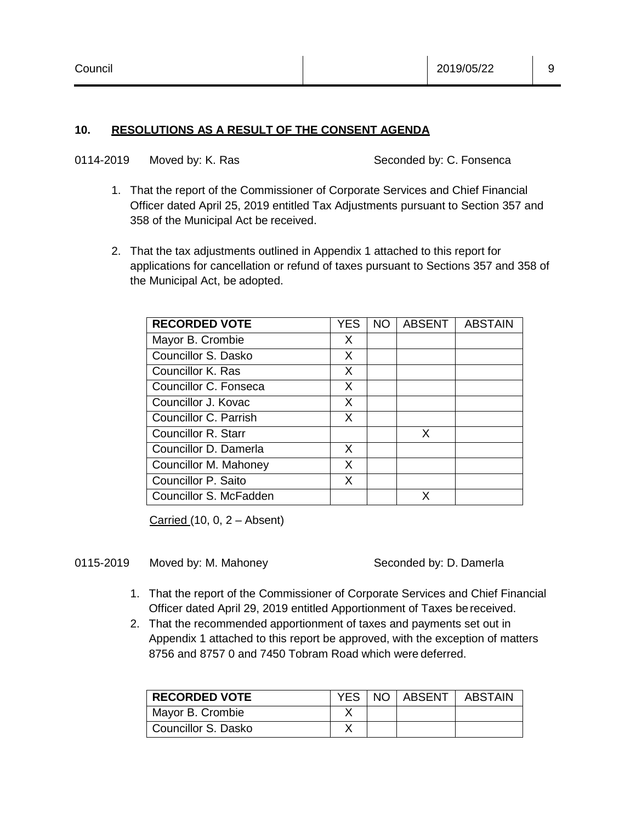#### **10. RESOLUTIONS AS A RESULT OF THE CONSENT AGENDA**

|  | 0114-2019 | Moved by: K. Ras |
|--|-----------|------------------|
|--|-----------|------------------|

#### Seconded by: C. Fonsenca

- 1. That the report of the Commissioner of Corporate Services and Chief Financial Officer dated April 25, 2019 entitled Tax Adjustments pursuant to Section 357 and 358 of the Municipal Act be received.
- 2. That the tax adjustments outlined in Appendix 1 attached to this report for applications for cancellation or refund of taxes pursuant to Sections 357 and 358 of the Municipal Act, be adopted.

| <b>RECORDED VOTE</b>   | YES | NO. | <b>ABSENT</b> | <b>ABSTAIN</b> |
|------------------------|-----|-----|---------------|----------------|
| Mayor B. Crombie       | X   |     |               |                |
| Councillor S. Dasko    | X   |     |               |                |
| Councillor K. Ras      | X   |     |               |                |
| Councillor C. Fonseca  | X   |     |               |                |
| Councillor J. Kovac    | X   |     |               |                |
| Councillor C. Parrish  | X   |     |               |                |
| Councillor R. Starr    |     |     | X             |                |
| Councillor D. Damerla  | X   |     |               |                |
| Councillor M. Mahoney  | X   |     |               |                |
| Councillor P. Saito    | X   |     |               |                |
| Councillor S. McFadden |     |     |               |                |

Carried (10, 0, 2 – Absent)

#### 0115-2019 Moved by: M. Mahoney Seconded by: D. Damerla

- 1. That the report of the Commissioner of Corporate Services and Chief Financial Officer dated April 29, 2019 entitled Apportionment of Taxes bereceived.
- 2. That the recommended apportionment of taxes and payments set out in Appendix 1 attached to this report be approved, with the exception of matters 8756 and 8757 0 and 7450 Tobram Road which were deferred.

| <b>RECORDED VOTE</b> |  | YES   NO   ABSENT   ABSTAIN |
|----------------------|--|-----------------------------|
| Mayor B. Crombie     |  |                             |
| Councillor S. Dasko  |  |                             |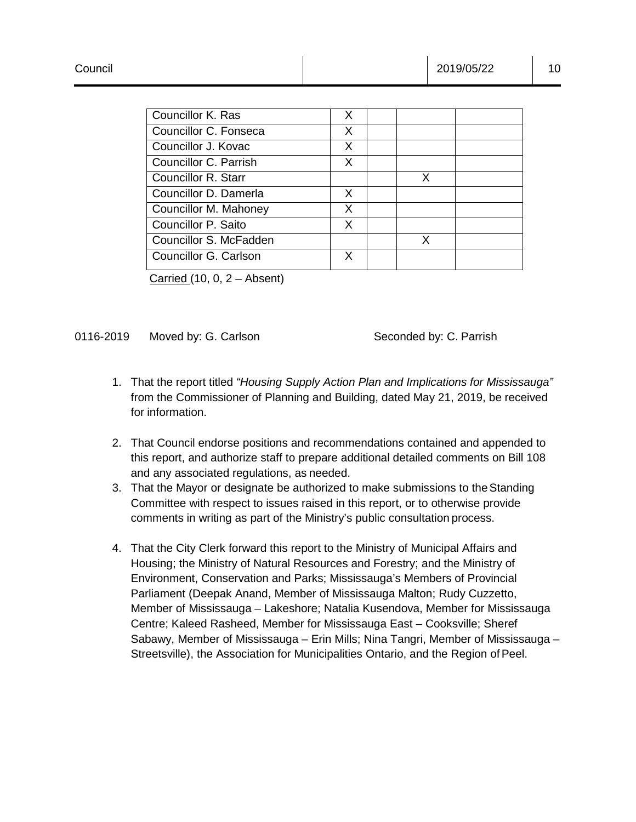| Councillor K. Ras      | X  |   |  |
|------------------------|----|---|--|
| Councillor C. Fonseca  | X  |   |  |
| Councillor J. Kovac    | X  |   |  |
| Councillor C. Parrish  | X  |   |  |
| Councillor R. Starr    |    | X |  |
| Councillor D. Damerla  | X. |   |  |
| Councillor M. Mahoney  | X  |   |  |
| Councillor P. Saito    | X. |   |  |
| Councillor S. McFadden |    | X |  |
| Councillor G. Carlson  | x  |   |  |
|                        |    |   |  |

Carried  $(10, 0, 2 -$  Absent)

#### 0116-2019 Moved by: G. Carlson Seconded by: C. Parrish

- 1. That the report titled *"Housing Supply Action Plan and Implications for Mississauga"*  from the Commissioner of Planning and Building, dated May 21, 2019, be received for information.
- 2. That Council endorse positions and recommendations contained and appended to this report, and authorize staff to prepare additional detailed comments on Bill 108 and any associated regulations, as needed.
- 3. That the Mayor or designate be authorized to make submissions to theStanding Committee with respect to issues raised in this report, or to otherwise provide comments in writing as part of the Ministry's public consultation process.
- 4. That the City Clerk forward this report to the Ministry of Municipal Affairs and Housing; the Ministry of Natural Resources and Forestry; and the Ministry of Environment, Conservation and Parks; Mississauga's Members of Provincial Parliament (Deepak Anand, Member of Mississauga Malton; Rudy Cuzzetto, Member of Mississauga – Lakeshore; Natalia Kusendova, Member for Mississauga Centre; Kaleed Rasheed, Member for Mississauga East – Cooksville; Sheref Sabawy, Member of Mississauga – Erin Mills; Nina Tangri, Member of Mississauga – Streetsville), the Association for Municipalities Ontario, and the Region of Peel.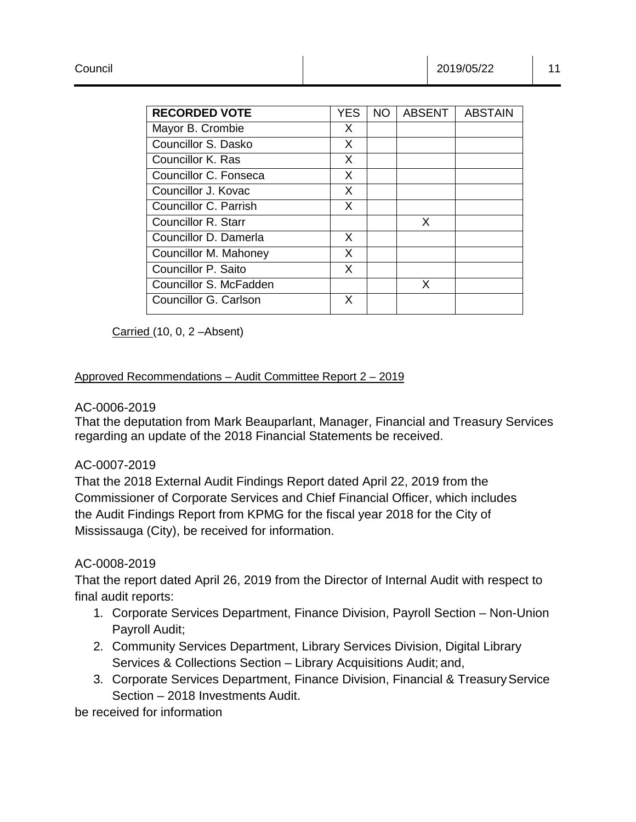| <b>RECORDED VOTE</b>       | YES | NO. | <b>ABSENT</b> | ABSTAIN |
|----------------------------|-----|-----|---------------|---------|
| Mayor B. Crombie           | X   |     |               |         |
| Councillor S. Dasko        | X   |     |               |         |
| Councillor K. Ras          | X   |     |               |         |
| Councillor C. Fonseca      | X   |     |               |         |
| Councillor J. Kovac        | X   |     |               |         |
| Councillor C. Parrish      | X   |     |               |         |
| <b>Councillor R. Starr</b> |     |     | X             |         |
| Councillor D. Damerla      | X   |     |               |         |
| Councillor M. Mahoney      | X   |     |               |         |
| Councillor P. Saito        | X   |     |               |         |
| Councillor S. McFadden     |     |     | x             |         |
| Councillor G. Carlson      | X   |     |               |         |

Carried (10, 0, 2 –Absent)

#### Approved Recommendations – Audit Committee Report 2 – 2019

#### AC-0006-2019

That the deputation from Mark Beauparlant, Manager, Financial and Treasury Services regarding an update of the 2018 Financial Statements be received.

#### AC-0007-2019

That the 2018 External Audit Findings Report dated April 22, 2019 from the Commissioner of Corporate Services and Chief Financial Officer, which includes the Audit Findings Report from KPMG for the fiscal year 2018 for the City of Mississauga (City), be received for information.

#### AC-0008-2019

That the report dated April 26, 2019 from the Director of Internal Audit with respect to final audit reports:

- 1. Corporate Services Department, Finance Division, Payroll Section Non-Union Payroll Audit;
- 2. Community Services Department, Library Services Division, Digital Library Services & Collections Section – Library Acquisitions Audit; and,
- 3. Corporate Services Department, Finance Division, Financial & Treasury Service Section – 2018 Investments Audit.

be received for information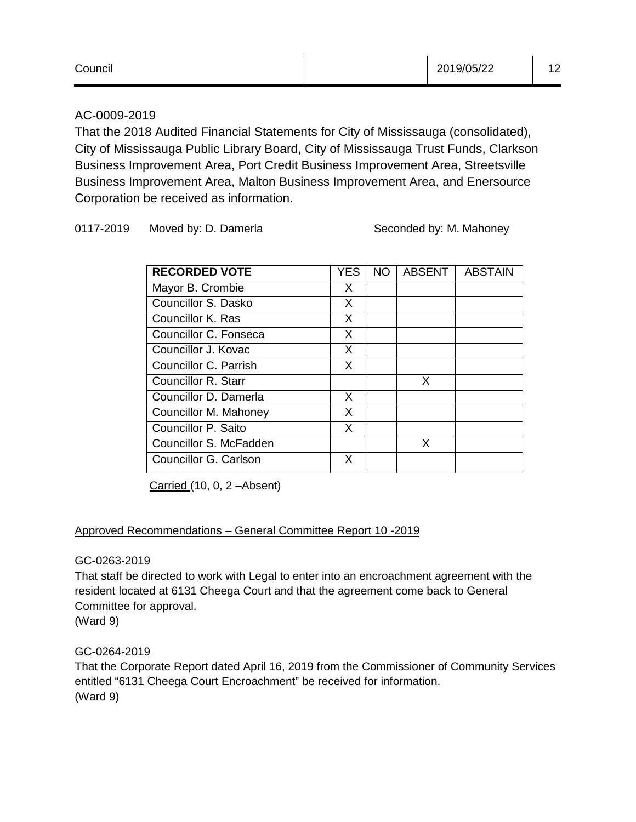| Council | 2019/05/22 | $\overline{A}$<br>ے . |
|---------|------------|-----------------------|
|         |            |                       |

# AC-0009-2019

That the 2018 Audited Financial Statements for City of Mississauga (consolidated), City of Mississauga Public Library Board, City of Mississauga Trust Funds, Clarkson Business Improvement Area, Port Credit Business Improvement Area, Streetsville Business Improvement Area, Malton Business Improvement Area, and Enersource Corporation be received as information.

#### 0117-2019 Moved by: D. Damerla Seconded by: M. Mahoney

| <b>RECORDED VOTE</b>   | YES | NO. | ABSENT | <b>ABSTAIN</b> |
|------------------------|-----|-----|--------|----------------|
| Mayor B. Crombie       | X   |     |        |                |
| Councillor S. Dasko    | X   |     |        |                |
| Councillor K. Ras      | X   |     |        |                |
| Councillor C. Fonseca  | X   |     |        |                |
| Councillor J. Kovac    | X   |     |        |                |
| Councillor C. Parrish  | X   |     |        |                |
| Councillor R. Starr    |     |     | X      |                |
| Councillor D. Damerla  | X   |     |        |                |
| Councillor M. Mahoney  | X   |     |        |                |
| Councillor P. Saito    | X   |     |        |                |
| Councillor S. McFadden |     |     | x      |                |
| Councillor G. Carlson  | X   |     |        |                |

Carried (10, 0, 2 –Absent)

# Approved Recommendations – General Committee Report 10 -2019

#### GC-0263-2019

That staff be directed to work with Legal to enter into an encroachment agreement with the resident located at 6131 Cheega Court and that the agreement come back to General Committee for approval.

(Ward 9)

#### GC-0264-2019

That the Corporate Report dated April 16, 2019 from the Commissioner of Community Services entitled "6131 Cheega Court Encroachment" be received for information. (Ward 9)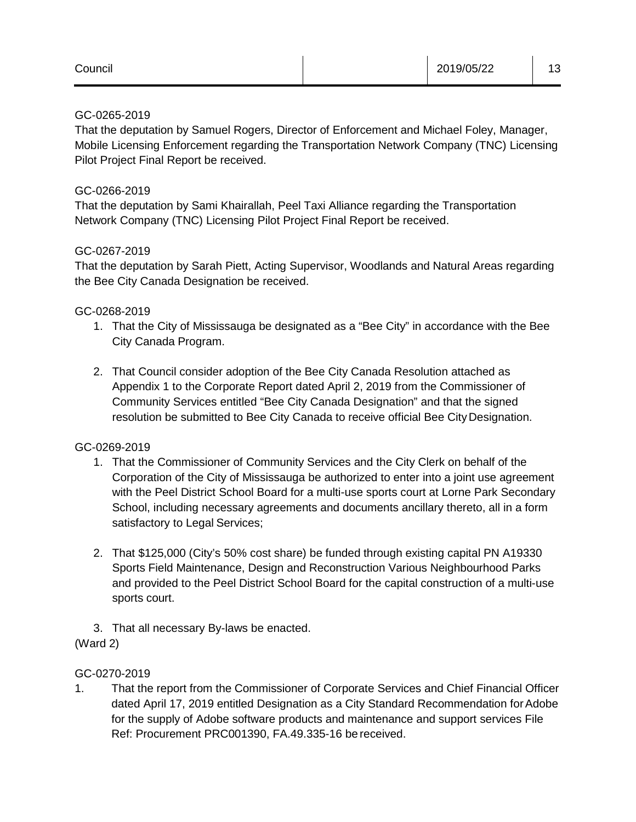| Council |  | 2019/05/22 | ^<br>. J |
|---------|--|------------|----------|
|---------|--|------------|----------|

#### GC-0265-2019

That the deputation by Samuel Rogers, Director of Enforcement and Michael Foley, Manager, Mobile Licensing Enforcement regarding the Transportation Network Company (TNC) Licensing Pilot Project Final Report be received.

#### GC-0266-2019

That the deputation by Sami Khairallah, Peel Taxi Alliance regarding the Transportation Network Company (TNC) Licensing Pilot Project Final Report be received.

# GC-0267-2019

That the deputation by Sarah Piett, Acting Supervisor, Woodlands and Natural Areas regarding the Bee City Canada Designation be received.

#### GC-0268-2019

- 1. That the City of Mississauga be designated as a "Bee City" in accordance with the Bee City Canada Program.
- 2. That Council consider adoption of the Bee City Canada Resolution attached as Appendix 1 to the Corporate Report dated April 2, 2019 from the Commissioner of Community Services entitled "Bee City Canada Designation" and that the signed resolution be submitted to Bee City Canada to receive official Bee City Designation.

#### GC-0269-2019

- 1. That the Commissioner of Community Services and the City Clerk on behalf of the Corporation of the City of Mississauga be authorized to enter into a joint use agreement with the Peel District School Board for a multi-use sports court at Lorne Park Secondary School, including necessary agreements and documents ancillary thereto, all in a form satisfactory to Legal Services;
- 2. That \$125,000 (City's 50% cost share) be funded through existing capital PN A19330 Sports Field Maintenance, Design and Reconstruction Various Neighbourhood Parks and provided to the Peel District School Board for the capital construction of a multi-use sports court.
- 3. That all necessary By-laws be enacted.

# (Ward 2)

# GC-0270-2019

1. That the report from the Commissioner of Corporate Services and Chief Financial Officer dated April 17, 2019 entitled Designation as a City Standard Recommendation for Adobe for the supply of Adobe software products and maintenance and support services File Ref: Procurement PRC001390, FA.49.335-16 be received.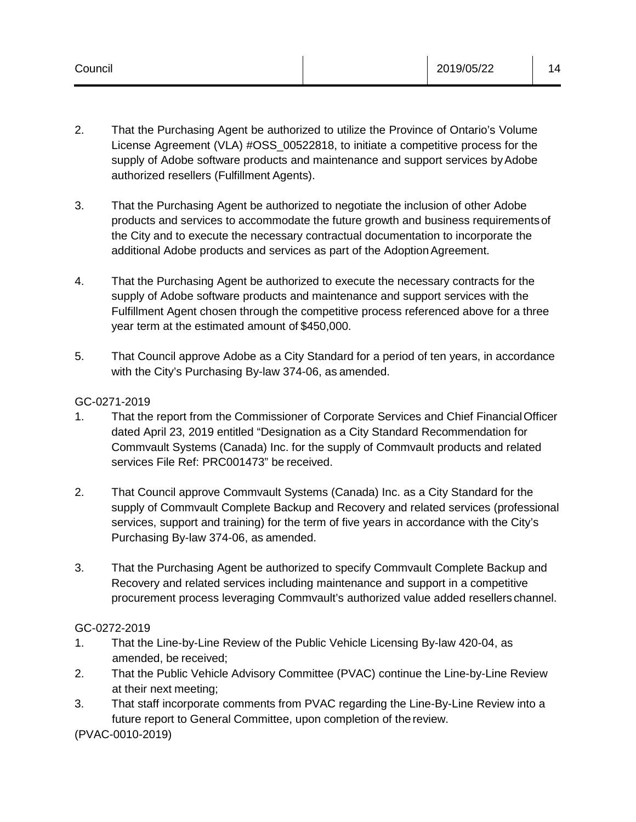- 2. That the Purchasing Agent be authorized to utilize the Province of Ontario's Volume License Agreement (VLA) #OSS\_00522818, to initiate a competitive process for the supply of Adobe software products and maintenance and support services by Adobe authorized resellers (Fulfillment Agents).
- 3. That the Purchasing Agent be authorized to negotiate the inclusion of other Adobe products and services to accommodate the future growth and business requirementsof the City and to execute the necessary contractual documentation to incorporate the additional Adobe products and services as part of the Adoption Agreement.
- 4. That the Purchasing Agent be authorized to execute the necessary contracts for the supply of Adobe software products and maintenance and support services with the Fulfillment Agent chosen through the competitive process referenced above for a three year term at the estimated amount of \$450,000.
- 5. That Council approve Adobe as a City Standard for a period of ten years, in accordance with the City's Purchasing By-law 374-06, as amended.

# GC-0271-2019

- 1. That the report from the Commissioner of Corporate Services and Chief FinancialOfficer dated April 23, 2019 entitled "Designation as a City Standard Recommendation for Commvault Systems (Canada) Inc. for the supply of Commvault products and related services File Ref: PRC001473" be received.
- 2. That Council approve Commvault Systems (Canada) Inc. as a City Standard for the supply of Commvault Complete Backup and Recovery and related services (professional services, support and training) for the term of five years in accordance with the City's Purchasing By-law 374-06, as amended.
- 3. That the Purchasing Agent be authorized to specify Commvault Complete Backup and Recovery and related services including maintenance and support in a competitive procurement process leveraging Commvault's authorized value added resellers channel.

# GC-0272-2019

- 1. That the Line-by-Line Review of the Public Vehicle Licensing By-law 420-04, as amended, be received;
- 2. That the Public Vehicle Advisory Committee (PVAC) continue the Line-by-Line Review at their next meeting;
- 3. That staff incorporate comments from PVAC regarding the Line-By-Line Review into a future report to General Committee, upon completion of the review.

(PVAC-0010-2019)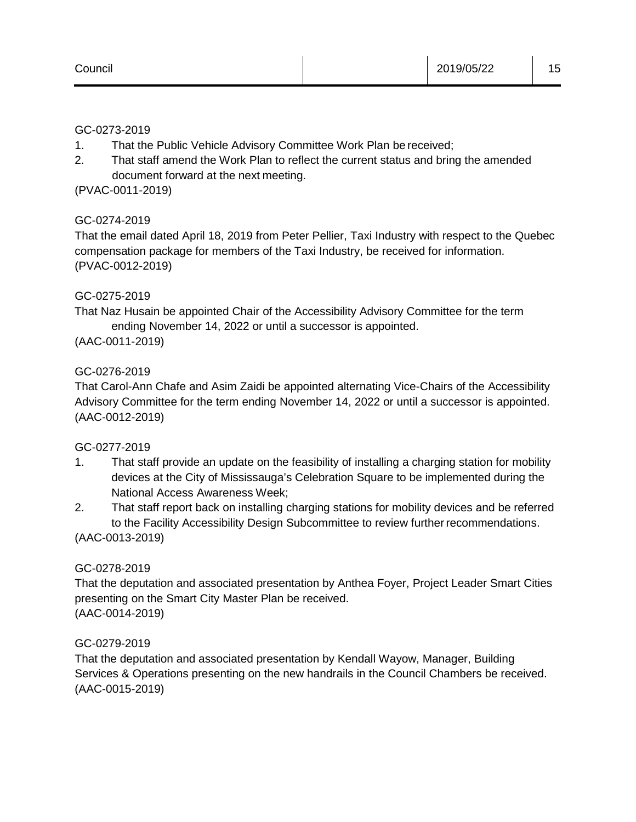#### GC-0273-2019

- 1. That the Public Vehicle Advisory Committee Work Plan be received;
- 2. That staff amend the Work Plan to reflect the current status and bring the amended document forward at the next meeting.

(PVAC-0011-2019)

# GC-0274-2019

That the email dated April 18, 2019 from Peter Pellier, Taxi Industry with respect to the Quebec compensation package for members of the Taxi Industry, be received for information. (PVAC-0012-2019)

#### GC-0275-2019

That Naz Husain be appointed Chair of the Accessibility Advisory Committee for the term ending November 14, 2022 or until a successor is appointed.

#### (AAC-0011-2019)

# GC-0276-2019

That Carol-Ann Chafe and Asim Zaidi be appointed alternating Vice-Chairs of the Accessibility Advisory Committee for the term ending November 14, 2022 or until a successor is appointed. (AAC-0012-2019)

#### GC-0277-2019

- 1. That staff provide an update on the feasibility of installing a charging station for mobility devices at the City of Mississauga's Celebration Square to be implemented during the National Access Awareness Week;
- 2. That staff report back on installing charging stations for mobility devices and be referred to the Facility Accessibility Design Subcommittee to review further recommendations.

(AAC-0013-2019)

#### GC-0278-2019

That the deputation and associated presentation by Anthea Foyer, Project Leader Smart Cities presenting on the Smart City Master Plan be received. (AAC-0014-2019)

#### GC-0279-2019

That the deputation and associated presentation by Kendall Wayow, Manager, Building Services & Operations presenting on the new handrails in the Council Chambers be received. (AAC-0015-2019)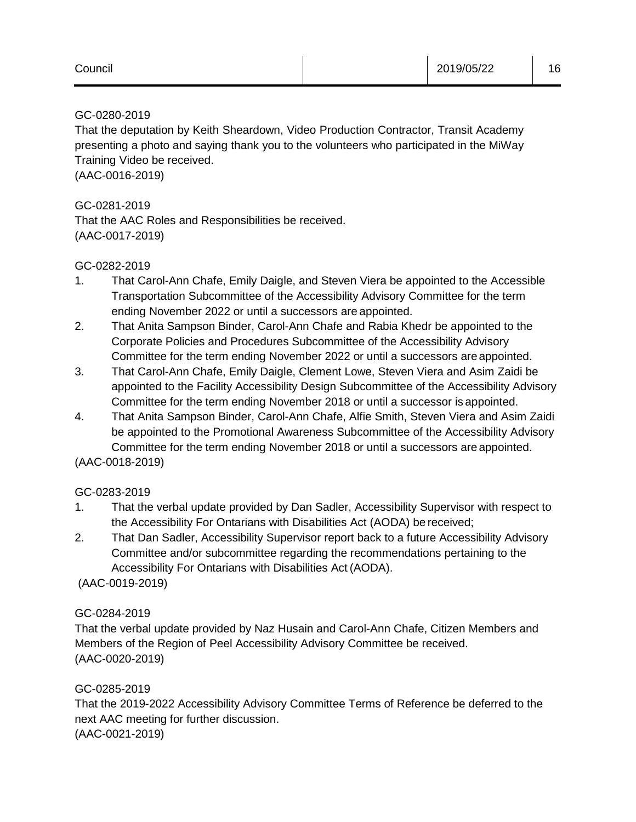#### GC-0280-2019

That the deputation by Keith Sheardown, Video Production Contractor, Transit Academy presenting a photo and saying thank you to the volunteers who participated in the MiWay Training Video be received.

(AAC-0016-2019)

GC-0281-2019

That the AAC Roles and Responsibilities be received. (AAC-0017-2019)

#### GC-0282-2019

- 1. That Carol-Ann Chafe, Emily Daigle, and Steven Viera be appointed to the Accessible Transportation Subcommittee of the Accessibility Advisory Committee for the term ending November 2022 or until a successors are appointed.
- 2. That Anita Sampson Binder, Carol-Ann Chafe and Rabia Khedr be appointed to the Corporate Policies and Procedures Subcommittee of the Accessibility Advisory Committee for the term ending November 2022 or until a successors are appointed.
- 3. That Carol-Ann Chafe, Emily Daigle, Clement Lowe, Steven Viera and Asim Zaidi be appointed to the Facility Accessibility Design Subcommittee of the Accessibility Advisory Committee for the term ending November 2018 or until a successor is appointed.
- 4. That Anita Sampson Binder, Carol-Ann Chafe, Alfie Smith, Steven Viera and Asim Zaidi be appointed to the Promotional Awareness Subcommittee of the Accessibility Advisory Committee for the term ending November 2018 or until a successors are appointed.

(AAC-0018-2019)

# GC-0283-2019

- 1. That the verbal update provided by Dan Sadler, Accessibility Supervisor with respect to the Accessibility For Ontarians with Disabilities Act (AODA) be received;
- 2. That Dan Sadler, Accessibility Supervisor report back to a future Accessibility Advisory Committee and/or subcommittee regarding the recommendations pertaining to the Accessibility For Ontarians with Disabilities Act (AODA).

(AAC-0019-2019)

# GC-0284-2019

That the verbal update provided by Naz Husain and Carol-Ann Chafe, Citizen Members and Members of the Region of Peel Accessibility Advisory Committee be received. (AAC-0020-2019)

#### GC-0285-2019

That the 2019-2022 Accessibility Advisory Committee Terms of Reference be deferred to the next AAC meeting for further discussion. (AAC-0021-2019)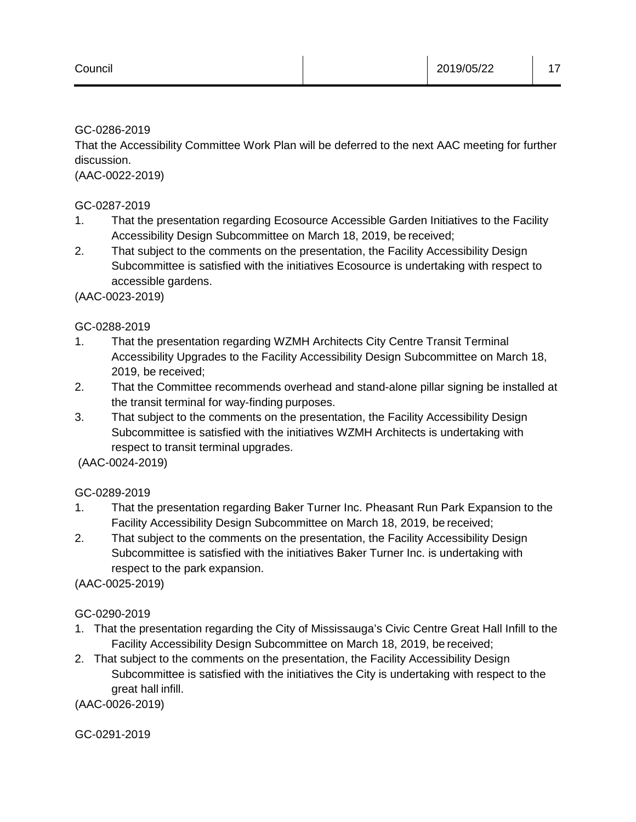GC-0286-2019

That the Accessibility Committee Work Plan will be deferred to the next AAC meeting for further discussion.

(AAC-0022-2019)

GC-0287-2019

- 1. That the presentation regarding Ecosource Accessible Garden Initiatives to the Facility Accessibility Design Subcommittee on March 18, 2019, be received;
- 2. That subject to the comments on the presentation, the Facility Accessibility Design Subcommittee is satisfied with the initiatives Ecosource is undertaking with respect to accessible gardens.

(AAC-0023-2019)

# GC-0288-2019

- 1. That the presentation regarding WZMH Architects City Centre Transit Terminal Accessibility Upgrades to the Facility Accessibility Design Subcommittee on March 18, 2019, be received;
- 2. That the Committee recommends overhead and stand-alone pillar signing be installed at the transit terminal for way-finding purposes.
- 3. That subject to the comments on the presentation, the Facility Accessibility Design Subcommittee is satisfied with the initiatives WZMH Architects is undertaking with respect to transit terminal upgrades.

(AAC-0024-2019)

# GC-0289-2019

- 1. That the presentation regarding Baker Turner Inc. Pheasant Run Park Expansion to the Facility Accessibility Design Subcommittee on March 18, 2019, be received;
- 2. That subject to the comments on the presentation, the Facility Accessibility Design Subcommittee is satisfied with the initiatives Baker Turner Inc. is undertaking with respect to the park expansion.

(AAC-0025-2019)

# GC-0290-2019

- 1. That the presentation regarding the City of Mississauga's Civic Centre Great Hall Infill to the Facility Accessibility Design Subcommittee on March 18, 2019, be received;
- 2. That subject to the comments on the presentation, the Facility Accessibility Design Subcommittee is satisfied with the initiatives the City is undertaking with respect to the great hall infill.

(AAC-0026-2019)

GC-0291-2019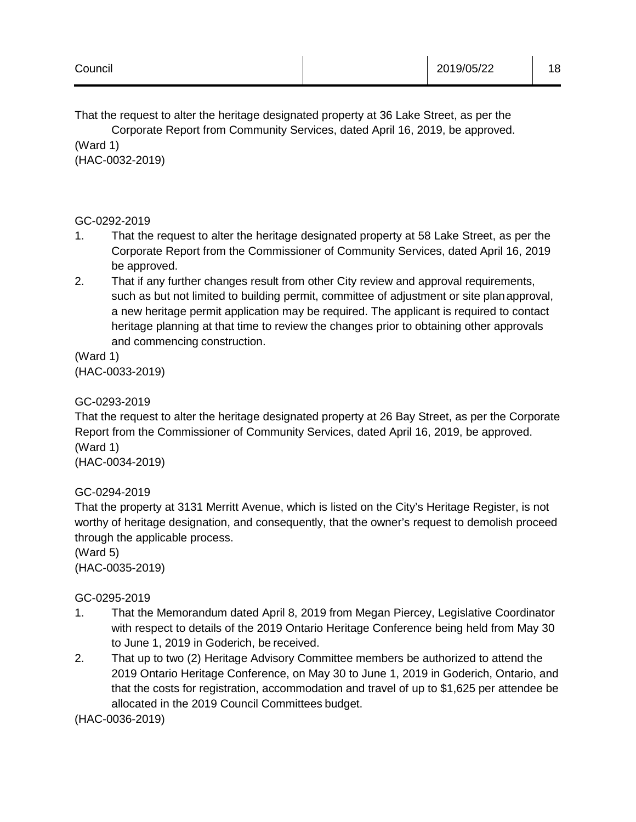That the request to alter the heritage designated property at 36 Lake Street, as per the

Corporate Report from Community Services, dated April 16, 2019, be approved. (Ward 1)

(HAC-0032-2019)

# GC-0292-2019

- 1. That the request to alter the heritage designated property at 58 Lake Street, as per the Corporate Report from the Commissioner of Community Services, dated April 16, 2019 be approved.
- 2. That if any further changes result from other City review and approval requirements, such as but not limited to building permit, committee of adjustment or site planapproval, a new heritage permit application may be required. The applicant is required to contact heritage planning at that time to review the changes prior to obtaining other approvals and commencing construction.

(Ward 1) (HAC-0033-2019)

# GC-0293-2019

That the request to alter the heritage designated property at 26 Bay Street, as per the Corporate Report from the Commissioner of Community Services, dated April 16, 2019, be approved. (Ward 1) (HAC-0034-2019)

GC-0294-2019

That the property at 3131 Merritt Avenue, which is listed on the City's Heritage Register, is not worthy of heritage designation, and consequently, that the owner's request to demolish proceed through the applicable process.

(Ward 5) (HAC-0035-2019)

# GC-0295-2019

- 1. That the Memorandum dated April 8, 2019 from Megan Piercey, Legislative Coordinator with respect to details of the 2019 Ontario Heritage Conference being held from May 30 to June 1, 2019 in Goderich, be received.
- 2. That up to two (2) Heritage Advisory Committee members be authorized to attend the 2019 Ontario Heritage Conference, on May 30 to June 1, 2019 in Goderich, Ontario, and that the costs for registration, accommodation and travel of up to \$1,625 per attendee be allocated in the 2019 Council Committees budget.

(HAC-0036-2019)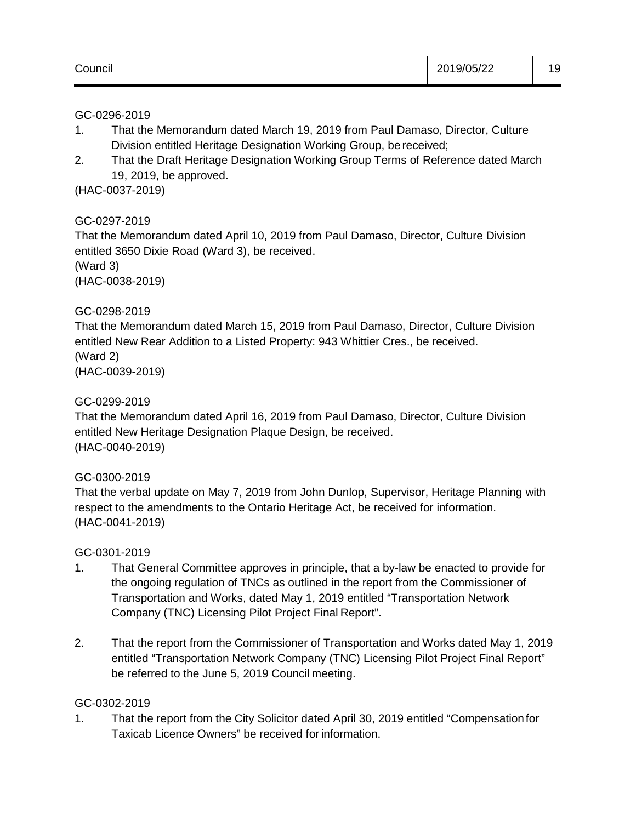#### GC-0296-2019

- 1. That the Memorandum dated March 19, 2019 from Paul Damaso, Director, Culture Division entitled Heritage Designation Working Group, be received;
- 2. That the Draft Heritage Designation Working Group Terms of Reference dated March 19, 2019, be approved.

(HAC-0037-2019)

# GC-0297-2019

That the Memorandum dated April 10, 2019 from Paul Damaso, Director, Culture Division entitled 3650 Dixie Road (Ward 3), be received. (Ward 3)

(HAC-0038-2019)

# GC-0298-2019

That the Memorandum dated March 15, 2019 from Paul Damaso, Director, Culture Division entitled New Rear Addition to a Listed Property: 943 Whittier Cres., be received. (Ward 2) (HAC-0039-2019)

GC-0299-2019

That the Memorandum dated April 16, 2019 from Paul Damaso, Director, Culture Division entitled New Heritage Designation Plaque Design, be received. (HAC-0040-2019)

# GC-0300-2019

That the verbal update on May 7, 2019 from John Dunlop, Supervisor, Heritage Planning with respect to the amendments to the Ontario Heritage Act, be received for information. (HAC-0041-2019)

#### GC-0301-2019

- 1. That General Committee approves in principle, that a by-law be enacted to provide for the ongoing regulation of TNCs as outlined in the report from the Commissioner of Transportation and Works, dated May 1, 2019 entitled "Transportation Network Company (TNC) Licensing Pilot Project Final Report".
- 2. That the report from the Commissioner of Transportation and Works dated May 1, 2019 entitled "Transportation Network Company (TNC) Licensing Pilot Project Final Report" be referred to the June 5, 2019 Council meeting.

#### GC-0302-2019

1. That the report from the City Solicitor dated April 30, 2019 entitled "Compensationfor Taxicab Licence Owners" be received for information.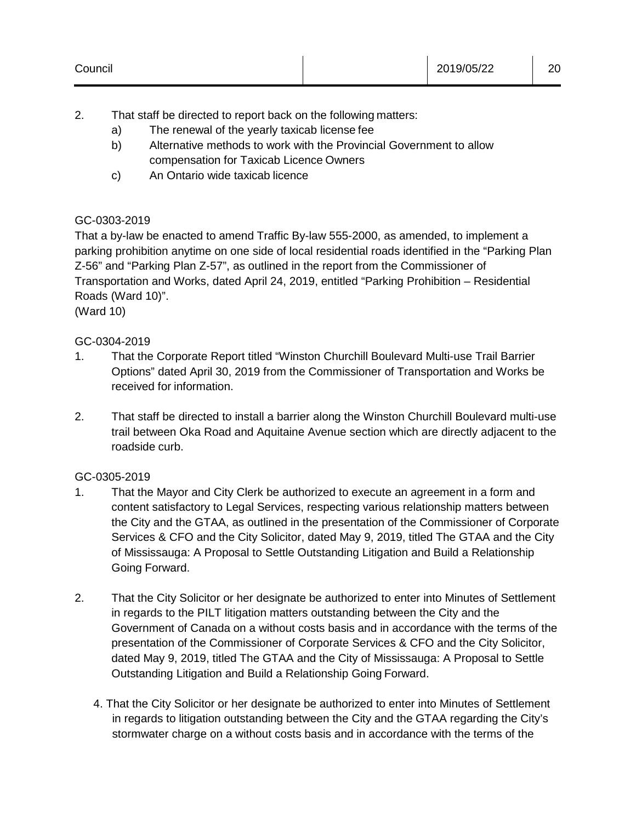- 2. That staff be directed to report back on the following matters:
	- a) The renewal of the yearly taxicab license fee
	- b) Alternative methods to work with the Provincial Government to allow compensation for Taxicab Licence Owners
	- c) An Ontario wide taxicab licence

# GC-0303-2019

That a by-law be enacted to amend Traffic By-law 555-2000, as amended, to implement a parking prohibition anytime on one side of local residential roads identified in the "Parking Plan Z-56" and "Parking Plan Z-57", as outlined in the report from the Commissioner of Transportation and Works, dated April 24, 2019, entitled "Parking Prohibition – Residential Roads (Ward 10)". (Ward 10)

# GC-0304-2019

- 1. That the Corporate Report titled "Winston Churchill Boulevard Multi-use Trail Barrier Options" dated April 30, 2019 from the Commissioner of Transportation and Works be received for information.
- 2. That staff be directed to install a barrier along the Winston Churchill Boulevard multi-use trail between Oka Road and Aquitaine Avenue section which are directly adjacent to the roadside curb.

#### GC-0305-2019

- 1. That the Mayor and City Clerk be authorized to execute an agreement in a form and content satisfactory to Legal Services, respecting various relationship matters between the City and the GTAA, as outlined in the presentation of the Commissioner of Corporate Services & CFO and the City Solicitor, dated May 9, 2019, titled The GTAA and the City of Mississauga: A Proposal to Settle Outstanding Litigation and Build a Relationship Going Forward.
- 2. That the City Solicitor or her designate be authorized to enter into Minutes of Settlement in regards to the PILT litigation matters outstanding between the City and the Government of Canada on a without costs basis and in accordance with the terms of the presentation of the Commissioner of Corporate Services & CFO and the City Solicitor, dated May 9, 2019, titled The GTAA and the City of Mississauga: A Proposal to Settle Outstanding Litigation and Build a Relationship Going Forward.
	- 4. That the City Solicitor or her designate be authorized to enter into Minutes of Settlement in regards to litigation outstanding between the City and the GTAA regarding the City's stormwater charge on a without costs basis and in accordance with the terms of the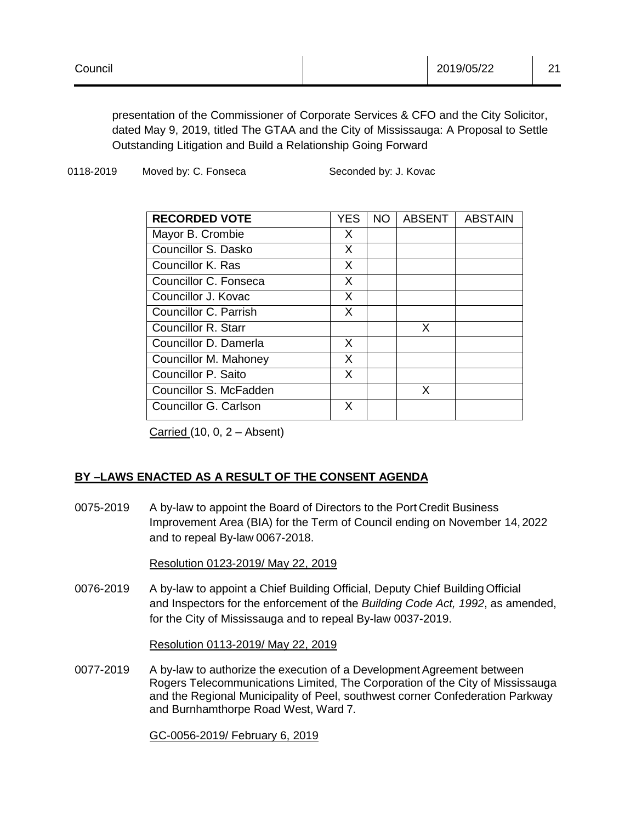presentation of the Commissioner of Corporate Services & CFO and the City Solicitor, dated May 9, 2019, titled The GTAA and the City of Mississauga: A Proposal to Settle Outstanding Litigation and Build a Relationship Going Forward

0118-2019 Moved by: C. Fonseca Seconded by: J. Kovac

| <b>RECORDED VOTE</b>       | YES | <b>NO</b> | <b>ABSENT</b> | <b>ABSTAIN</b> |
|----------------------------|-----|-----------|---------------|----------------|
| Mayor B. Crombie           | X   |           |               |                |
| Councillor S. Dasko        | X   |           |               |                |
| Councillor K. Ras          | X   |           |               |                |
| Councillor C. Fonseca      | X   |           |               |                |
| Councillor J. Kovac        | X   |           |               |                |
| Councillor C. Parrish      | X   |           |               |                |
| <b>Councillor R. Starr</b> |     |           | X             |                |
| Councillor D. Damerla      | X.  |           |               |                |
| Councillor M. Mahoney      | X   |           |               |                |
| Councillor P. Saito        | X   |           |               |                |
| Councillor S. McFadden     |     |           | X             |                |
| Councillor G. Carlson      | X   |           |               |                |

Carried  $(10, 0, 2 -$  Absent)

# **BY –LAWS ENACTED AS A RESULT OF THE CONSENT AGENDA**

0075-2019 A by-law to appoint the Board of Directors to the Port Credit Business Improvement Area (BIA) for the Term of Council ending on November 14, 2022 and to repeal By-law 0067-2018.

Resolution 0123-2019/ May 22, 2019

0076-2019 A by-law to appoint a Chief Building Official, Deputy Chief Building Official and Inspectors for the enforcement of the *Building Code Act, 1992*, as amended, for the City of Mississauga and to repeal By-law 0037-2019.

#### Resolution 0113-2019/ May 22, 2019

0077-2019 A by-law to authorize the execution of a Development Agreement between Rogers Telecommunications Limited, The Corporation of the City of Mississauga and the Regional Municipality of Peel, southwest corner Confederation Parkway and Burnhamthorpe Road West, Ward 7.

GC-0056-2019/ February 6, 2019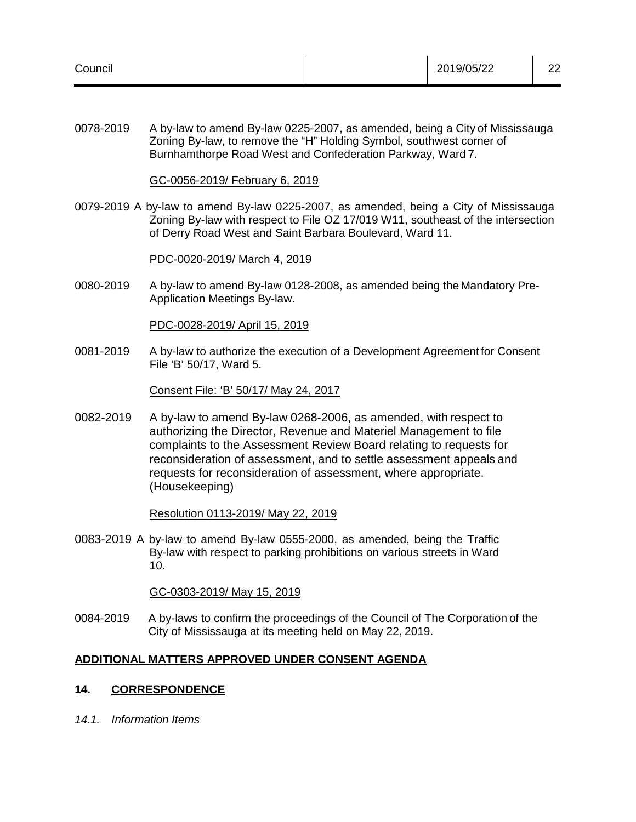| Council | 2019/05/22 | nn<br>ᅩ |
|---------|------------|---------|
|         |            |         |

0078-2019 A by-law to amend By-law 0225-2007, as amended, being a City of Mississauga Zoning By-law, to remove the "H" Holding Symbol, southwest corner of Burnhamthorpe Road West and Confederation Parkway, Ward 7.

GC-0056-2019/ February 6, 2019

0079-2019 A by-law to amend By-law 0225-2007, as amended, being a City of Mississauga Zoning By-law with respect to File OZ 17/019 W11, southeast of the intersection of Derry Road West and Saint Barbara Boulevard, Ward 11.

#### PDC-0020-2019/ March 4, 2019

0080-2019 A by-law to amend By-law 0128-2008, as amended being the Mandatory Pre-Application Meetings By-law.

PDC-0028-2019/ April 15, 2019

0081-2019 A by-law to authorize the execution of a Development Agreement for Consent File 'B' 50/17, Ward 5.

Consent File: 'B' 50/17/ May 24, 2017

0082-2019 A by-law to amend By-law 0268-2006, as amended, with respect to authorizing the Director, Revenue and Materiel Management to file complaints to the Assessment Review Board relating to requests for reconsideration of assessment, and to settle assessment appeals and requests for reconsideration of assessment, where appropriate. (Housekeeping)

Resolution 0113-2019/ May 22, 2019

0083-2019 A by-law to amend By-law 0555-2000, as amended, being the Traffic By-law with respect to parking prohibitions on various streets in Ward 10.

GC-0303-2019/ May 15, 2019

0084-2019 A by-laws to confirm the proceedings of the Council of The Corporation of the City of Mississauga at its meeting held on May 22, 2019.

#### **ADDITIONAL MATTERS APPROVED UNDER CONSENT AGENDA**

#### **14. CORRESPONDENCE**

*14.1. Information Items*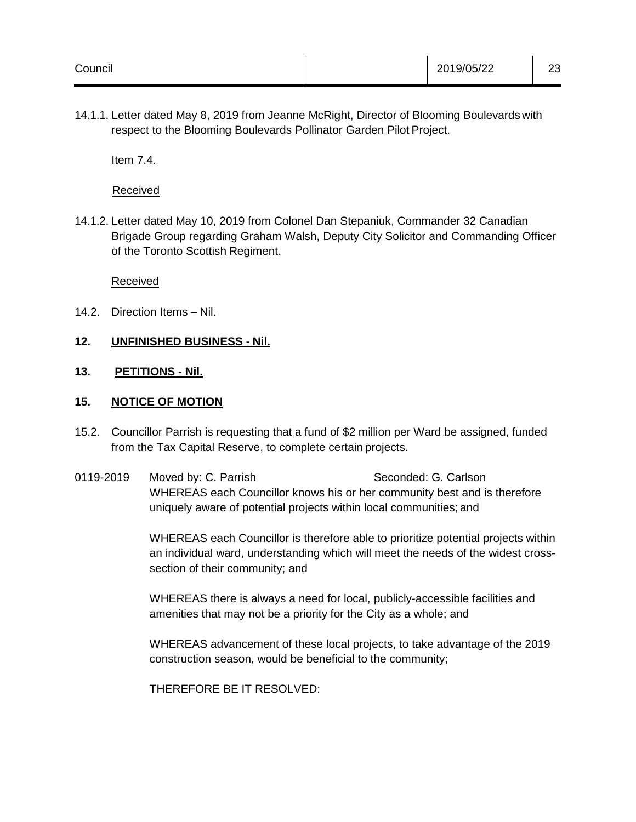14.1.1. Letter dated May 8, 2019 from Jeanne McRight, Director of Blooming Boulevards with respect to the Blooming Boulevards Pollinator Garden Pilot Project.

Item 7.4.

Received

14.1.2. Letter dated May 10, 2019 from Colonel Dan Stepaniuk, Commander 32 Canadian Brigade Group regarding Graham Walsh, Deputy City Solicitor and Commanding Officer of the Toronto Scottish Regiment.

Received

14.2. Direction Items – Nil.

# **12. UNFINISHED BUSINESS - Nil.**

# **13. PETITIONS - Nil.**

# **15. NOTICE OF MOTION**

- 15.2. Councillor Parrish is requesting that a fund of \$2 million per Ward be assigned, funded from the Tax Capital Reserve, to complete certain projects.
- 0119-2019 Moved by: C. Parrish Seconded: G. Carlson WHEREAS each Councillor knows his or her community best and is therefore uniquely aware of potential projects within local communities; and

WHEREAS each Councillor is therefore able to prioritize potential projects within an individual ward, understanding which will meet the needs of the widest crosssection of their community; and

WHEREAS there is always a need for local, publicly-accessible facilities and amenities that may not be a priority for the City as a whole; and

WHEREAS advancement of these local projects, to take advantage of the 2019 construction season, would be beneficial to the community;

THEREFORE BE IT RESOLVED: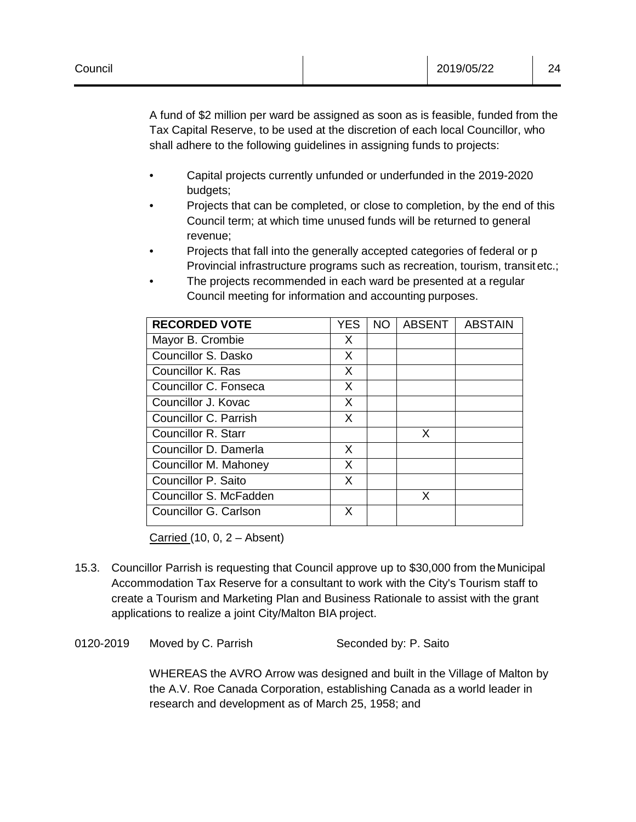A fund of \$2 million per ward be assigned as soon as is feasible, funded from the Tax Capital Reserve, to be used at the discretion of each local Councillor, who shall adhere to the following guidelines in assigning funds to projects:

- Capital projects currently unfunded or underfunded in the 2019-2020 budgets;
- Projects that can be completed, or close to completion, by the end of this Council term; at which time unused funds will be returned to general revenue;
- Projects that fall into the generally accepted categories of federal or p Provincial infrastructure programs such as recreation, tourism, transitetc.;
- The projects recommended in each ward be presented at a regular Council meeting for information and accounting purposes.

| <b>RECORDED VOTE</b>       | <b>YES</b> | <b>NO</b> | <b>ABSENT</b> | <b>ABSTAIN</b> |
|----------------------------|------------|-----------|---------------|----------------|
| Mayor B. Crombie           | X          |           |               |                |
| Councillor S. Dasko        | X          |           |               |                |
| Councillor K. Ras          | X          |           |               |                |
| Councillor C. Fonseca      | X          |           |               |                |
| Councillor J. Kovac        | X          |           |               |                |
| Councillor C. Parrish      | X          |           |               |                |
| <b>Councillor R. Starr</b> |            |           | X             |                |
| Councillor D. Damerla      | X          |           |               |                |
| Councillor M. Mahoney      | X          |           |               |                |
| Councillor P. Saito        | X          |           |               |                |
| Councillor S. McFadden     |            |           | X             |                |
| Councillor G. Carlson      | X          |           |               |                |

Carried  $(10, 0, 2 -$  Absent)

- 15.3. Councillor Parrish is requesting that Council approve up to \$30,000 from theMunicipal Accommodation Tax Reserve for a consultant to work with the City's Tourism staff to create a Tourism and Marketing Plan and Business Rationale to assist with the grant applications to realize a joint City/Malton BIA project.
- 0120-2019 Moved by C. Parrish Seconded by: P. Saito

WHEREAS the AVRO Arrow was designed and built in the Village of Malton by the A.V. Roe Canada Corporation, establishing Canada as a world leader in research and development as of March 25, 1958; and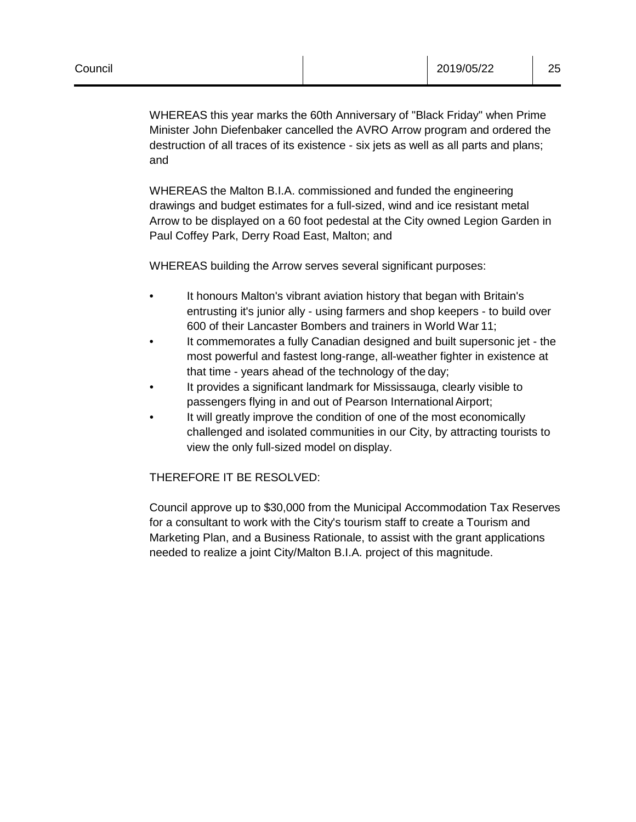WHEREAS this year marks the 60th Anniversary of "Black Friday" when Prime Minister John Diefenbaker cancelled the AVRO Arrow program and ordered the destruction of all traces of its existence - six jets as well as all parts and plans; and

WHEREAS the Malton B.I.A. commissioned and funded the engineering drawings and budget estimates for a full-sized, wind and ice resistant metal Arrow to be displayed on a 60 foot pedestal at the City owned Legion Garden in Paul Coffey Park, Derry Road East, Malton; and

WHEREAS building the Arrow serves several significant purposes:

- It honours Malton's vibrant aviation history that began with Britain's entrusting it's junior ally - using farmers and shop keepers - to build over 600 of their Lancaster Bombers and trainers in World War 11;
- It commemorates a fully Canadian designed and built supersonic jet the most powerful and fastest long-range, all-weather fighter in existence at that time - years ahead of the technology of the day;
- It provides a significant landmark for Mississauga, clearly visible to passengers flying in and out of Pearson International Airport;
- It will greatly improve the condition of one of the most economically challenged and isolated communities in our City, by attracting tourists to view the only full-sized model on display.

#### THEREFORE IT BE RESOLVED:

Council approve up to \$30,000 from the Municipal Accommodation Tax Reserves for a consultant to work with the City's tourism staff to create a Tourism and Marketing Plan, and a Business Rationale, to assist with the grant applications needed to realize a joint City/Malton B.I.A. project of this magnitude.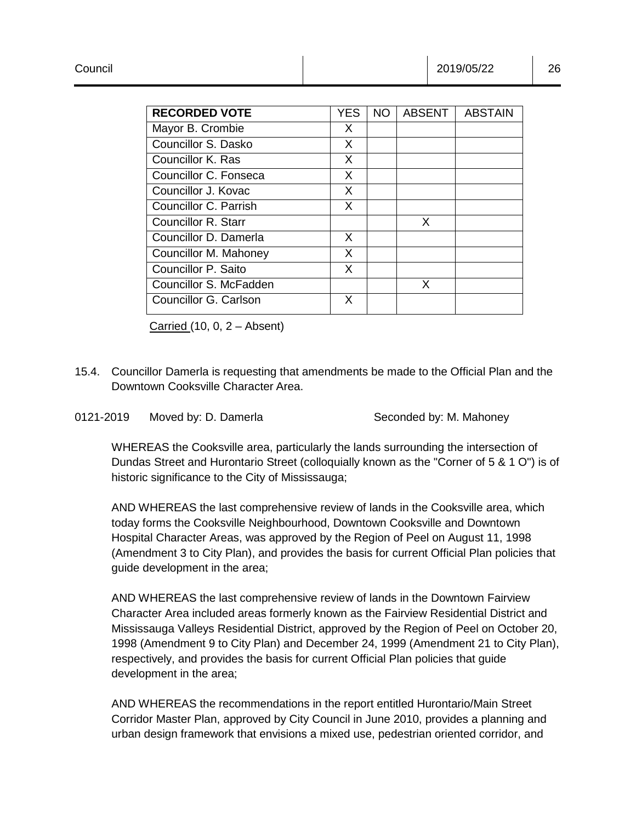| <b>RECORDED VOTE</b>   | <b>YES</b> | NO. | <b>ABSENT</b> | <b>ABSTAIN</b> |
|------------------------|------------|-----|---------------|----------------|
| Mayor B. Crombie       | X.         |     |               |                |
| Councillor S. Dasko    | X          |     |               |                |
| Councillor K. Ras      | X          |     |               |                |
| Councillor C. Fonseca  | X          |     |               |                |
| Councillor J. Kovac    | X          |     |               |                |
| Councillor C. Parrish  | X          |     |               |                |
| Councillor R. Starr    |            |     | X             |                |
| Councillor D. Damerla  | X          |     |               |                |
| Councillor M. Mahoney  | X          |     |               |                |
| Councillor P. Saito    | X          |     |               |                |
| Councillor S. McFadden |            |     | X             |                |
| Councillor G. Carlson  | X          |     |               |                |

Carried (10, 0, 2 – Absent)

- 15.4. Councillor Damerla is requesting that amendments be made to the Official Plan and the Downtown Cooksville Character Area.
- 0121-2019 Moved by: D. Damerla Seconded by: M. Mahoney

WHEREAS the Cooksville area, particularly the lands surrounding the intersection of Dundas Street and Hurontario Street (colloquially known as the "Corner of 5 & 1 O") is of historic significance to the City of Mississauga;

AND WHEREAS the last comprehensive review of lands in the Cooksville area, which today forms the Cooksville Neighbourhood, Downtown Cooksville and Downtown Hospital Character Areas, was approved by the Region of Peel on August 11, 1998 (Amendment 3 to City Plan), and provides the basis for current Official Plan policies that guide development in the area;

AND WHEREAS the last comprehensive review of lands in the Downtown Fairview Character Area included areas formerly known as the Fairview Residential District and Mississauga Valleys Residential District, approved by the Region of Peel on October 20, 1998 (Amendment 9 to City Plan) and December 24, 1999 (Amendment 21 to City Plan), respectively, and provides the basis for current Official Plan policies that guide development in the area;

AND WHEREAS the recommendations in the report entitled Hurontario/Main Street Corridor Master Plan, approved by City Council in June 2010, provides a planning and urban design framework that envisions a mixed use, pedestrian oriented corridor, and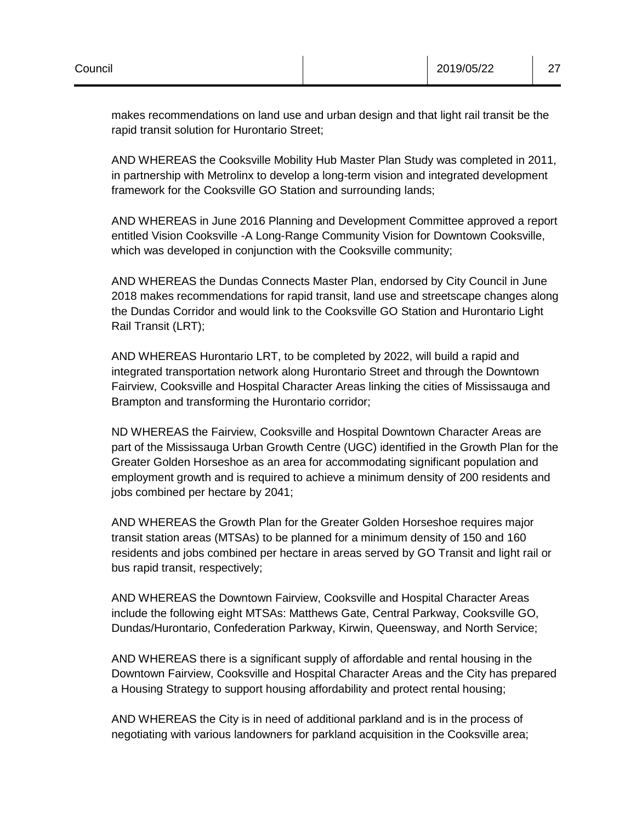makes recommendations on land use and urban design and that light rail transit be the rapid transit solution for Hurontario Street;

AND WHEREAS the Cooksville Mobility Hub Master Plan Study was completed in 2011, in partnership with Metrolinx to develop a long-term vision and integrated development framework for the Cooksville GO Station and surrounding lands;

AND WHEREAS in June 2016 Planning and Development Committee approved a report entitled Vision Cooksville -A Long-Range Community Vision for Downtown Cooksville, which was developed in conjunction with the Cooksville community;

AND WHEREAS the Dundas Connects Master Plan, endorsed by City Council in June 2018 makes recommendations for rapid transit, land use and streetscape changes along the Dundas Corridor and would link to the Cooksville GO Station and Hurontario Light Rail Transit (LRT);

AND WHEREAS Hurontario LRT, to be completed by 2022, will build a rapid and integrated transportation network along Hurontario Street and through the Downtown Fairview, Cooksville and Hospital Character Areas linking the cities of Mississauga and Brampton and transforming the Hurontario corridor;

ND WHEREAS the Fairview, Cooksville and Hospital Downtown Character Areas are part of the Mississauga Urban Growth Centre (UGC) identified in the Growth Plan for the Greater Golden Horseshoe as an area for accommodating significant population and employment growth and is required to achieve a minimum density of 200 residents and jobs combined per hectare by 2041;

AND WHEREAS the Growth Plan for the Greater Golden Horseshoe requires major transit station areas (MTSAs) to be planned for a minimum density of 150 and 160 residents and jobs combined per hectare in areas served by GO Transit and light rail or bus rapid transit, respectively;

AND WHEREAS the Downtown Fairview, Cooksville and Hospital Character Areas include the following eight MTSAs: Matthews Gate, Central Parkway, Cooksville GO, Dundas/Hurontario, Confederation Parkway, Kirwin, Queensway, and North Service;

AND WHEREAS there is a significant supply of affordable and rental housing in the Downtown Fairview, Cooksville and Hospital Character Areas and the City has prepared a Housing Strategy to support housing affordability and protect rental housing;

AND WHEREAS the City is in need of additional parkland and is in the process of negotiating with various landowners for parkland acquisition in the Cooksville area;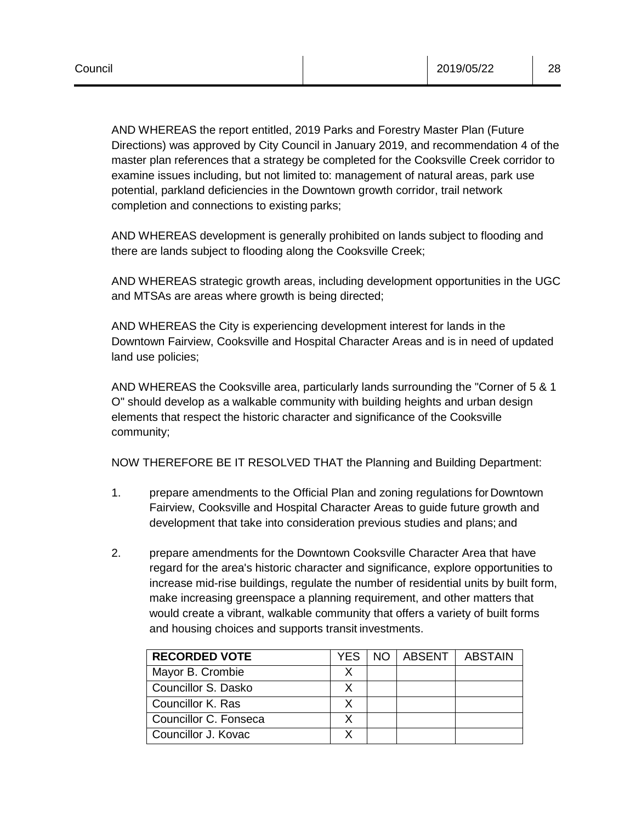AND WHEREAS the report entitled, 2019 Parks and Forestry Master Plan (Future Directions) was approved by City Council in January 2019, and recommendation 4 of the master plan references that a strategy be completed for the Cooksville Creek corridor to examine issues including, but not limited to: management of natural areas, park use potential, parkland deficiencies in the Downtown growth corridor, trail network completion and connections to existing parks;

AND WHEREAS development is generally prohibited on lands subject to flooding and there are lands subject to flooding along the Cooksville Creek;

AND WHEREAS strategic growth areas, including development opportunities in the UGC and MTSAs are areas where growth is being directed;

AND WHEREAS the City is experiencing development interest for lands in the Downtown Fairview, Cooksville and Hospital Character Areas and is in need of updated land use policies;

AND WHEREAS the Cooksville area, particularly lands surrounding the "Corner of 5 & 1 O" should develop as a walkable community with building heights and urban design elements that respect the historic character and significance of the Cooksville community;

NOW THEREFORE BE IT RESOLVED THAT the Planning and Building Department:

- 1. prepare amendments to the Official Plan and zoning regulations for Downtown Fairview, Cooksville and Hospital Character Areas to guide future growth and development that take into consideration previous studies and plans; and
- 2. prepare amendments for the Downtown Cooksville Character Area that have regard for the area's historic character and significance, explore opportunities to increase mid-rise buildings, regulate the number of residential units by built form, make increasing greenspace a planning requirement, and other matters that would create a vibrant, walkable community that offers a variety of built forms and housing choices and supports transit investments.

| <b>RECORDED VOTE</b>  | YES | NO ABSENT | <b>ABSTAIN</b> |
|-----------------------|-----|-----------|----------------|
| Mayor B. Crombie      |     |           |                |
| Councillor S. Dasko   |     |           |                |
| Councillor K. Ras     |     |           |                |
| Councillor C. Fonseca |     |           |                |
| Councillor J. Kovac   |     |           |                |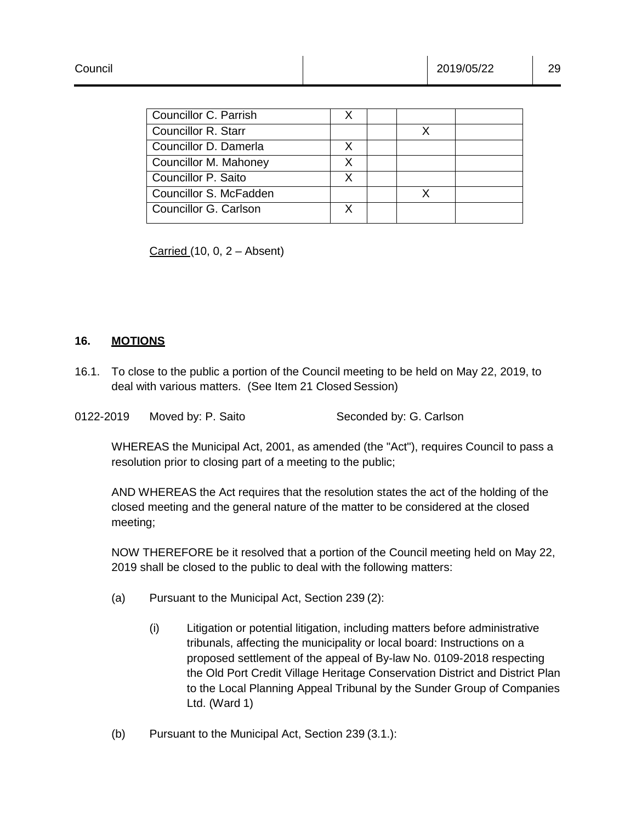| Councillor C. Parrish  |   |  |  |
|------------------------|---|--|--|
| Councillor R. Starr    |   |  |  |
| Councillor D. Damerla  |   |  |  |
| Councillor M. Mahoney  |   |  |  |
| Councillor P. Saito    | x |  |  |
| Councillor S. McFadden |   |  |  |
| Councillor G. Carlson  |   |  |  |
|                        |   |  |  |

Carried (10, 0, 2 – Absent)

#### **16. MOTIONS**

- 16.1. To close to the public a portion of the Council meeting to be held on May 22, 2019, to deal with various matters. (See Item 21 Closed Session)
- 0122-2019 Moved by: P. Saito Seconded by: G. Carlson

WHEREAS the Municipal Act, 2001, as amended (the "Act"), requires Council to pass a resolution prior to closing part of a meeting to the public;

AND WHEREAS the Act requires that the resolution states the act of the holding of the closed meeting and the general nature of the matter to be considered at the closed meeting;

NOW THEREFORE be it resolved that a portion of the Council meeting held on May 22, 2019 shall be closed to the public to deal with the following matters:

- (a) Pursuant to the Municipal Act, Section 239 (2):
	- (i) Litigation or potential litigation, including matters before administrative tribunals, affecting the municipality or local board: Instructions on a proposed settlement of the appeal of By-law No. 0109-2018 respecting the Old Port Credit Village Heritage Conservation District and District Plan to the Local Planning Appeal Tribunal by the Sunder Group of Companies Ltd. (Ward 1)
- (b) Pursuant to the Municipal Act, Section 239 (3.1.):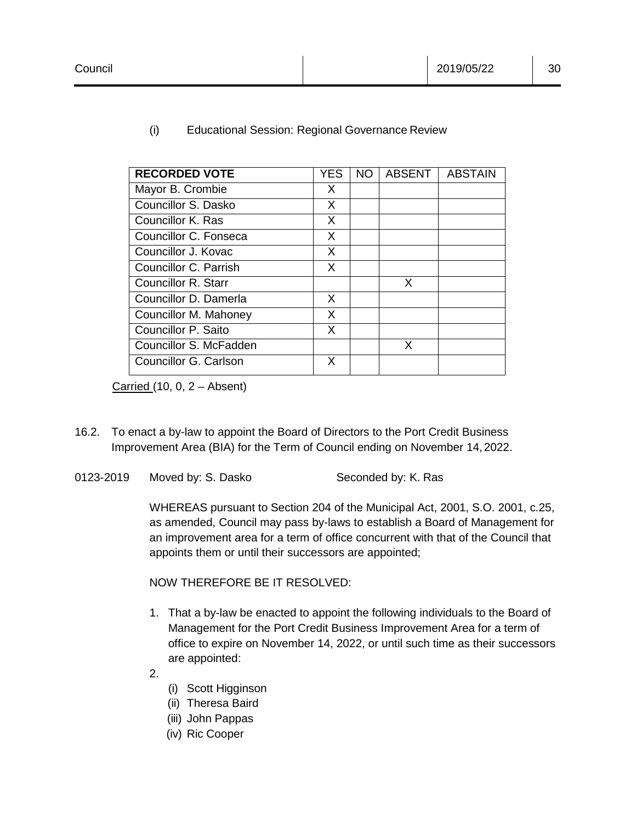| <b>RECORDED VOTE</b>       | <b>YES</b> | NO. | <b>ABSENT</b> | <b>ABSTAIN</b> |
|----------------------------|------------|-----|---------------|----------------|
| Mayor B. Crombie           | X          |     |               |                |
| Councillor S. Dasko        | X          |     |               |                |
| Councillor K. Ras          | X          |     |               |                |
| Councillor C. Fonseca      | X          |     |               |                |
| Councillor J. Kovac        | X          |     |               |                |
| Councillor C. Parrish      | X          |     |               |                |
| <b>Councillor R. Starr</b> |            |     | X             |                |
| Councillor D. Damerla      | X          |     |               |                |
| Councillor M. Mahoney      | X          |     |               |                |
| Councillor P. Saito        | X          |     |               |                |
| Councillor S. McFadden     |            |     | X             |                |
| Councillor G. Carlson      | X          |     |               |                |

(i) Educational Session: Regional Governance Review

Carried  $(10, 0, 2 -$  Absent)

- 16.2. To enact a by-law to appoint the Board of Directors to the Port Credit Business Improvement Area (BIA) for the Term of Council ending on November 14, 2022.
- 0123-2019 Moved by: S. Dasko Seconded by: K. Ras

WHEREAS pursuant to Section 204 of the Municipal Act, 2001, S.O. 2001, c.25, as amended, Council may pass by-laws to establish a Board of Management for an improvement area for a term of office concurrent with that of the Council that appoints them or until their successors are appointed;

NOW THEREFORE BE IT RESOLVED:

- 1. That a by-law be enacted to appoint the following individuals to the Board of Management for the Port Credit Business Improvement Area for a term of office to expire on November 14, 2022, or until such time as their successors are appointed:
- 2.
- (i) Scott Higginson
- (ii) Theresa Baird
- (iii) John Pappas
- (iv) Ric Cooper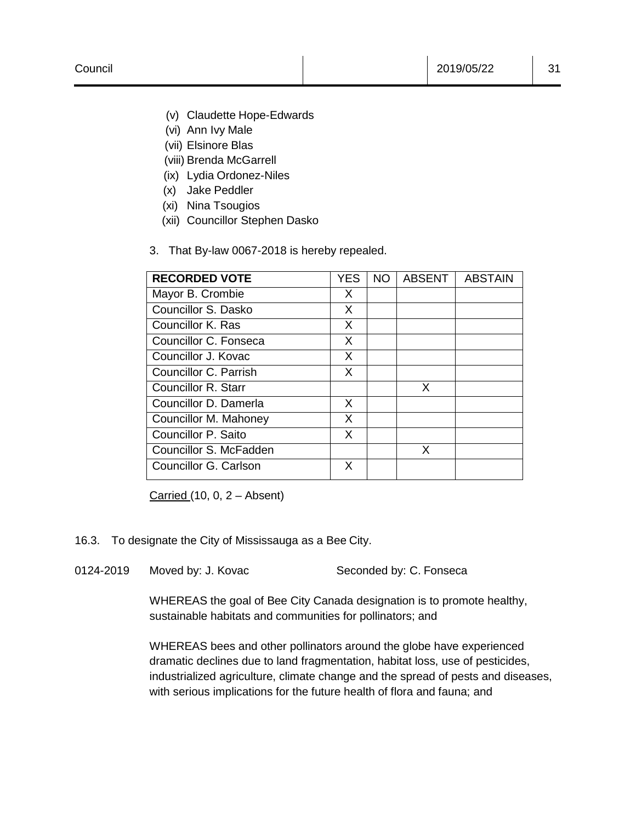- (v) Claudette Hope-Edwards
- (vi) Ann Ivy Male
- (vii) Elsinore Blas
- (viii) Brenda McGarrell
- (ix) Lydia Ordonez-Niles
- (x) Jake Peddler
- (xi) Nina Tsougios
- (xii) Councillor Stephen Dasko
- 3. That By-law 0067-2018 is hereby repealed.

| <b>RECORDED VOTE</b>       | <b>YES</b> | <b>NO</b> | <b>ABSENT</b> | <b>ABSTAIN</b> |
|----------------------------|------------|-----------|---------------|----------------|
| Mayor B. Crombie           | X          |           |               |                |
| Councillor S. Dasko        | X          |           |               |                |
| Councillor K. Ras          | X          |           |               |                |
| Councillor C. Fonseca      | X          |           |               |                |
| Councillor J. Kovac        | X          |           |               |                |
| Councillor C. Parrish      | X          |           |               |                |
| <b>Councillor R. Starr</b> |            |           | X             |                |
| Councillor D. Damerla      | X          |           |               |                |
| Councillor M. Mahoney      | X          |           |               |                |
| Councillor P. Saito        | X          |           |               |                |
| Councillor S. McFadden     |            |           | X             |                |
| Councillor G. Carlson      | X          |           |               |                |

Carried (10, 0, 2 – Absent)

- 16.3. To designate the City of Mississauga as a Bee City.
- 0124-2019 Moved by: J. Kovac Seconded by: C. Fonseca

WHEREAS the goal of Bee City Canada designation is to promote healthy, sustainable habitats and communities for pollinators; and

WHEREAS bees and other pollinators around the globe have experienced dramatic declines due to land fragmentation, habitat loss, use of pesticides, industrialized agriculture, climate change and the spread of pests and diseases, with serious implications for the future health of flora and fauna; and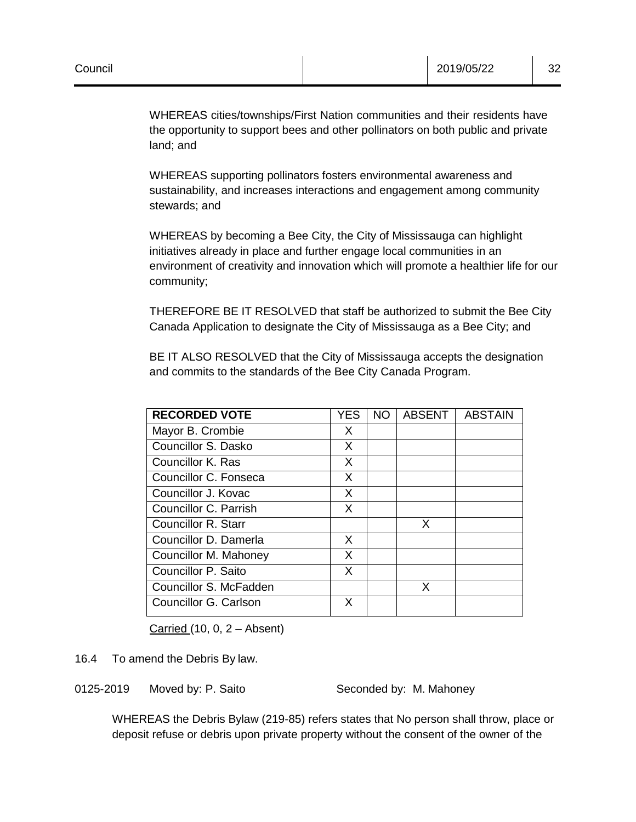WHEREAS supporting pollinators fosters environmental awareness and sustainability, and increases interactions and engagement among community stewards; and

WHEREAS by becoming a Bee City, the City of Mississauga can highlight initiatives already in place and further engage local communities in an environment of creativity and innovation which will promote a healthier life for our community;

THEREFORE BE IT RESOLVED that staff be authorized to submit the Bee City Canada Application to designate the City of Mississauga as a Bee City; and

BE IT ALSO RESOLVED that the City of Mississauga accepts the designation and commits to the standards of the Bee City Canada Program.

| <b>RECORDED VOTE</b>       | YES | NO | <b>ABSENT</b> | <b>ABSTAIN</b> |
|----------------------------|-----|----|---------------|----------------|
| Mayor B. Crombie           | X   |    |               |                |
| Councillor S. Dasko        | X   |    |               |                |
| Councillor K. Ras          | X   |    |               |                |
| Councillor C. Fonseca      | X   |    |               |                |
| Councillor J. Kovac        | X   |    |               |                |
| Councillor C. Parrish      | X   |    |               |                |
| <b>Councillor R. Starr</b> |     |    | X             |                |
| Councillor D. Damerla      | X   |    |               |                |
| Councillor M. Mahoney      | X   |    |               |                |
| Councillor P. Saito        | X   |    |               |                |
| Councillor S. McFadden     |     |    | X             |                |
| Councillor G. Carlson      | X   |    |               |                |

Carried  $(10, 0, 2 -$  Absent)

16.4 To amend the Debris By law.

0125-2019 Moved by: P. Saito Seconded by: M. Mahoney

WHEREAS the Debris Bylaw (219-85) refers states that No person shall throw, place or deposit refuse or debris upon private property without the consent of the owner of the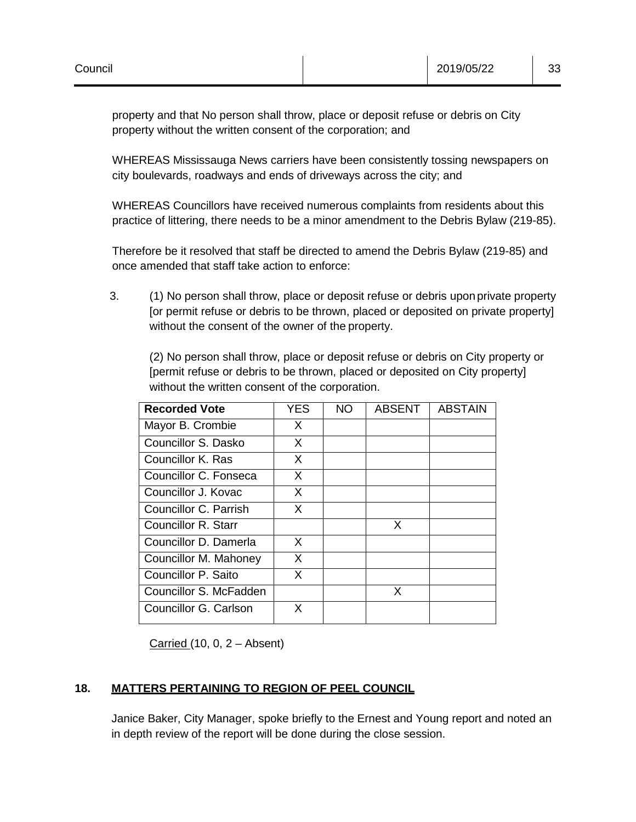property and that No person shall throw, place or deposit refuse or debris on City property without the written consent of the corporation; and

WHEREAS Mississauga News carriers have been consistently tossing newspapers on city boulevards, roadways and ends of driveways across the city; and

WHEREAS Councillors have received numerous complaints from residents about this practice of littering, there needs to be a minor amendment to the Debris Bylaw (219-85).

Therefore be it resolved that staff be directed to amend the Debris Bylaw (219-85) and once amended that staff take action to enforce:

3. (1) No person shall throw, place or deposit refuse or debris upon private property [or permit refuse or debris to be thrown, placed or deposited on private property] without the consent of the owner of the property.

(2) No person shall throw, place or deposit refuse or debris on City property or [permit refuse or debris to be thrown, placed or deposited on City property] without the written consent of the corporation.

| <b>Recorded Vote</b>   | <b>YES</b> | NO. | <b>ABSENT</b> | <b>ABSTAIN</b> |
|------------------------|------------|-----|---------------|----------------|
| Mayor B. Crombie       | X          |     |               |                |
| Councillor S. Dasko    | X          |     |               |                |
| Councillor K. Ras      | X          |     |               |                |
| Councillor C. Fonseca  | X          |     |               |                |
| Councillor J. Kovac    | X          |     |               |                |
| Councillor C. Parrish  | X          |     |               |                |
| Councillor R. Starr    |            |     | X             |                |
| Councillor D. Damerla  | X          |     |               |                |
| Councillor M. Mahoney  | X          |     |               |                |
| Councillor P. Saito    | X          |     |               |                |
| Councillor S. McFadden |            |     | X             |                |
| Councillor G. Carlson  | X          |     |               |                |

Carried  $(10, 0, 2 -$  Absent)

# **18. MATTERS PERTAINING TO REGION OF PEEL COUNCIL**

Janice Baker, City Manager, spoke briefly to the Ernest and Young report and noted an in depth review of the report will be done during the close session.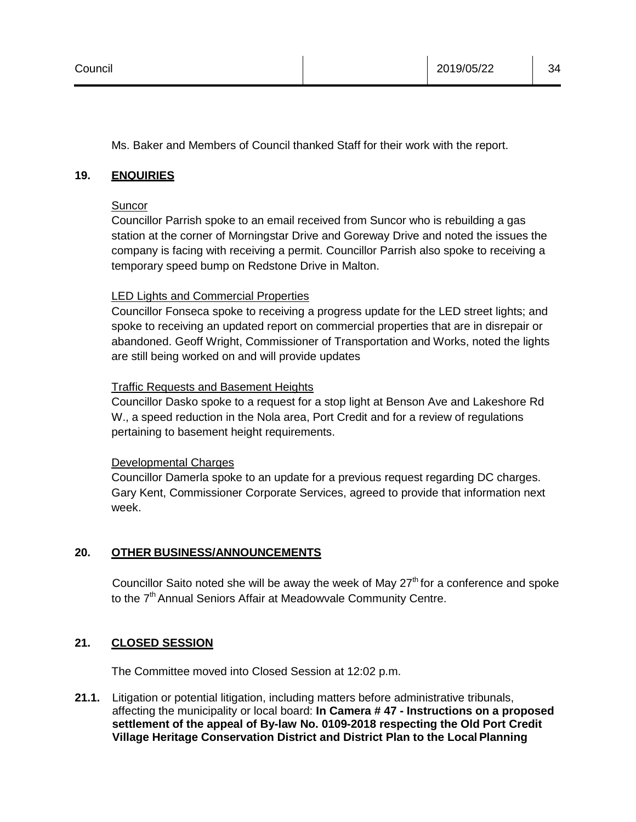Ms. Baker and Members of Council thanked Staff for their work with the report.

#### **19. ENQUIRIES**

#### **Suncor**

Councillor Parrish spoke to an email received from Suncor who is rebuilding a gas station at the corner of Morningstar Drive and Goreway Drive and noted the issues the company is facing with receiving a permit. Councillor Parrish also spoke to receiving a temporary speed bump on Redstone Drive in Malton.

#### LED Lights and Commercial Properties

Councillor Fonseca spoke to receiving a progress update for the LED street lights; and spoke to receiving an updated report on commercial properties that are in disrepair or abandoned. Geoff Wright, Commissioner of Transportation and Works, noted the lights are still being worked on and will provide updates

#### Traffic Requests and Basement Heights

Councillor Dasko spoke to a request for a stop light at Benson Ave and Lakeshore Rd W., a speed reduction in the Nola area, Port Credit and for a review of regulations pertaining to basement height requirements.

#### Developmental Charges

Councillor Damerla spoke to an update for a previous request regarding DC charges. Gary Kent, Commissioner Corporate Services, agreed to provide that information next week.

#### **20. OTHER BUSINESS/ANNOUNCEMENTS**

Councillor Saito noted she will be away the week of May  $27<sup>th</sup>$  for a conference and spoke to the  $7<sup>th</sup>$  Annual Seniors Affair at Meadowvale Community Centre.

#### **21. CLOSED SESSION**

The Committee moved into Closed Session at 12:02 p.m.

**21.1.** Litigation or potential litigation, including matters before administrative tribunals, affecting the municipality or local board: **In Camera # 47 - Instructions on a proposed settlement of the appeal of By-law No. 0109-2018 respecting the Old Port Credit Village Heritage Conservation District and District Plan to the Local Planning**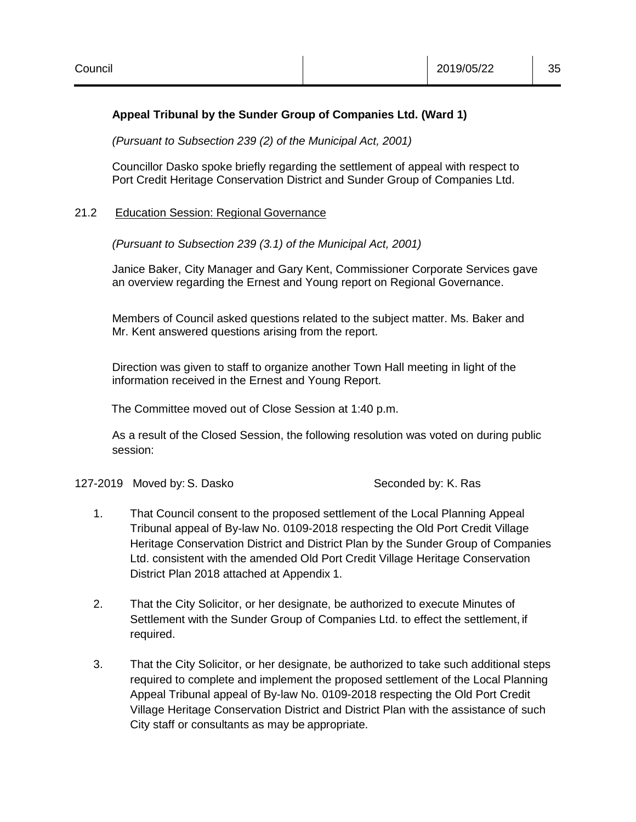#### **Appeal Tribunal by the Sunder Group of Companies Ltd. (Ward 1)**

*(Pursuant to Subsection 239 (2) of the Municipal Act, 2001)*

Councillor Dasko spoke briefly regarding the settlement of appeal with respect to Port Credit Heritage Conservation District and Sunder Group of Companies Ltd.

#### 21.2 Education Session: Regional Governance

*(Pursuant to Subsection 239 (3.1) of the Municipal Act, 2001)*

Janice Baker, City Manager and Gary Kent, Commissioner Corporate Services gave an overview regarding the Ernest and Young report on Regional Governance.

Members of Council asked questions related to the subject matter. Ms. Baker and Mr. Kent answered questions arising from the report.

Direction was given to staff to organize another Town Hall meeting in light of the information received in the Ernest and Young Report.

The Committee moved out of Close Session at 1:40 p.m.

As a result of the Closed Session, the following resolution was voted on during public session:

127-2019 Moved by: S. Dasko Seconded by: K. Ras

- 1. That Council consent to the proposed settlement of the Local Planning Appeal Tribunal appeal of By-law No. 0109-2018 respecting the Old Port Credit Village Heritage Conservation District and District Plan by the Sunder Group of Companies Ltd. consistent with the amended Old Port Credit Village Heritage Conservation District Plan 2018 attached at Appendix 1.
- 2. That the City Solicitor, or her designate, be authorized to execute Minutes of Settlement with the Sunder Group of Companies Ltd. to effect the settlement, if required.
- 3. That the City Solicitor, or her designate, be authorized to take such additional steps required to complete and implement the proposed settlement of the Local Planning Appeal Tribunal appeal of By-law No. 0109-2018 respecting the Old Port Credit Village Heritage Conservation District and District Plan with the assistance of such City staff or consultants as may be appropriate.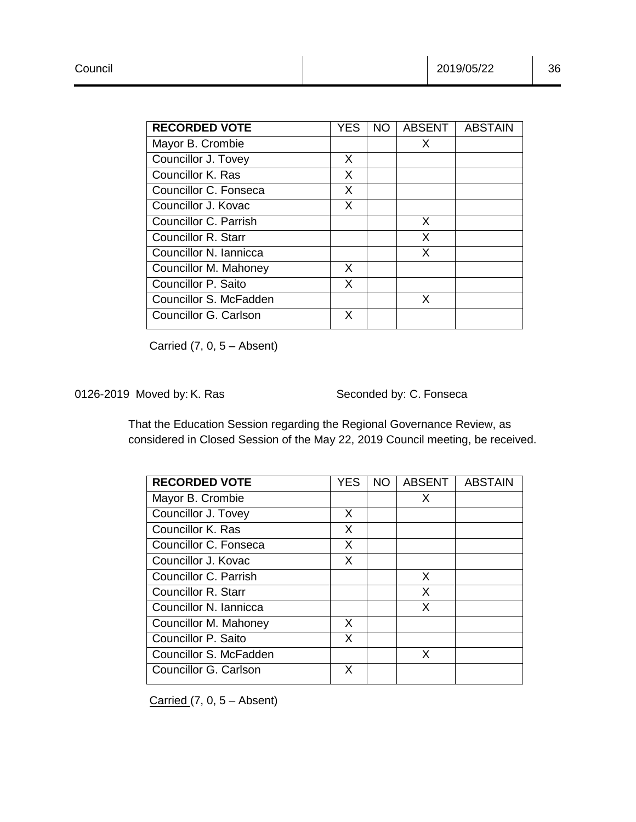| <b>RECORDED VOTE</b>   | <b>YES</b> | <b>NO</b> | <b>ABSENT</b> | <b>ABSTAIN</b> |
|------------------------|------------|-----------|---------------|----------------|
| Mayor B. Crombie       |            |           | X             |                |
| Councillor J. Tovey    | X          |           |               |                |
| Councillor K. Ras      | X          |           |               |                |
| Councillor C. Fonseca  | X          |           |               |                |
| Councillor J. Kovac    | X          |           |               |                |
| Councillor C. Parrish  |            |           | X             |                |
| Councillor R. Starr    |            |           | X             |                |
| Councillor N. Iannicca |            |           | X             |                |
| Councillor M. Mahoney  | X          |           |               |                |
| Councillor P. Saito    | X          |           |               |                |
| Councillor S. McFadden |            |           | X             |                |
| Councillor G. Carlson  | X          |           |               |                |

Carried  $(7, 0, 5 -$  Absent)

0126-2019 Moved by: K. Ras Seconded by: C. Fonseca

That the Education Session regarding the Regional Governance Review, as considered in Closed Session of the May 22, 2019 Council meeting, be received.

| <b>RECORDED VOTE</b>       | YES | NO. | <b>ABSENT</b> | <b>ABSTAIN</b> |
|----------------------------|-----|-----|---------------|----------------|
| Mayor B. Crombie           |     |     | X             |                |
| Councillor J. Tovey        | X   |     |               |                |
| Councillor K. Ras          | X   |     |               |                |
| Councillor C. Fonseca      | X   |     |               |                |
| Councillor J. Kovac        | X   |     |               |                |
| Councillor C. Parrish      |     |     | X             |                |
| <b>Councillor R. Starr</b> |     |     | X             |                |
| Councillor N. Iannicca     |     |     | X             |                |
| Councillor M. Mahoney      | X   |     |               |                |
| Councillor P. Saito        | X   |     |               |                |
| Councillor S. McFadden     |     |     | X             |                |
| Councillor G. Carlson      | X   |     |               |                |

Carried  $(7, 0, 5 -$  Absent)